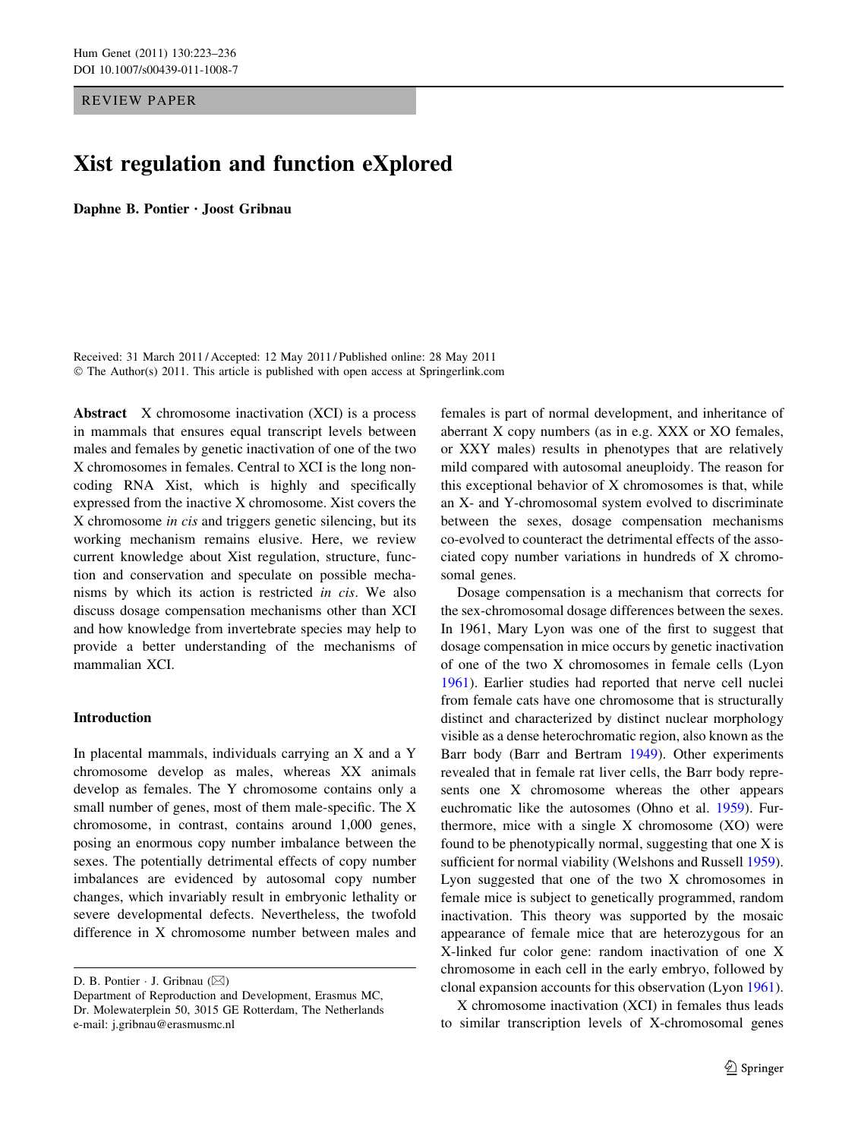REVIEW PAPER

# Xist regulation and function eXplored

Daphne B. Pontier • Joost Gribnau

Received: 31 March 2011 / Accepted: 12 May 2011 / Published online: 28 May 2011 © The Author(s) 2011. This article is published with open access at Springerlink.com

Abstract X chromosome inactivation (XCI) is a process in mammals that ensures equal transcript levels between males and females by genetic inactivation of one of the two X chromosomes in females. Central to XCI is the long noncoding RNA Xist, which is highly and specifically expressed from the inactive X chromosome. Xist covers the X chromosome in cis and triggers genetic silencing, but its working mechanism remains elusive. Here, we review current knowledge about Xist regulation, structure, function and conservation and speculate on possible mechanisms by which its action is restricted in cis. We also discuss dosage compensation mechanisms other than XCI and how knowledge from invertebrate species may help to provide a better understanding of the mechanisms of mammalian XCI.

## Introduction

In placental mammals, individuals carrying an X and a Y chromosome develop as males, whereas XX animals develop as females. The Y chromosome contains only a small number of genes, most of them male-specific. The X chromosome, in contrast, contains around 1,000 genes, posing an enormous copy number imbalance between the sexes. The potentially detrimental effects of copy number imbalances are evidenced by autosomal copy number changes, which invariably result in embryonic lethality or severe developmental defects. Nevertheless, the twofold difference in X chromosome number between males and

D. B. Pontier  $\cdot$  J. Gribnau ( $\boxtimes$ )

females is part of normal development, and inheritance of aberrant X copy numbers (as in e.g. XXX or XO females, or XXY males) results in phenotypes that are relatively mild compared with autosomal aneuploidy. The reason for this exceptional behavior of X chromosomes is that, while an X- and Y-chromosomal system evolved to discriminate between the sexes, dosage compensation mechanisms co-evolved to counteract the detrimental effects of the associated copy number variations in hundreds of X chromosomal genes.

Dosage compensation is a mechanism that corrects for the sex-chromosomal dosage differences between the sexes. In 1961, Mary Lyon was one of the first to suggest that dosage compensation in mice occurs by genetic inactivation of one of the two X chromosomes in female cells (Lyon [1961](#page-12-0)). Earlier studies had reported that nerve cell nuclei from female cats have one chromosome that is structurally distinct and characterized by distinct nuclear morphology visible as a dense heterochromatic region, also known as the Barr body (Barr and Bertram [1949\)](#page-10-0). Other experiments revealed that in female rat liver cells, the Barr body represents one X chromosome whereas the other appears euchromatic like the autosomes (Ohno et al. [1959](#page-12-0)). Furthermore, mice with a single X chromosome (XO) were found to be phenotypically normal, suggesting that one X is sufficient for normal viability (Welshons and Russell [1959](#page-13-0)). Lyon suggested that one of the two X chromosomes in female mice is subject to genetically programmed, random inactivation. This theory was supported by the mosaic appearance of female mice that are heterozygous for an X-linked fur color gene: random inactivation of one X chromosome in each cell in the early embryo, followed by clonal expansion accounts for this observation (Lyon [1961](#page-12-0)).

X chromosome inactivation (XCI) in females thus leads to similar transcription levels of X-chromosomal genes

Department of Reproduction and Development, Erasmus MC, Dr. Molewaterplein 50, 3015 GE Rotterdam, The Netherlands e-mail: j.gribnau@erasmusmc.nl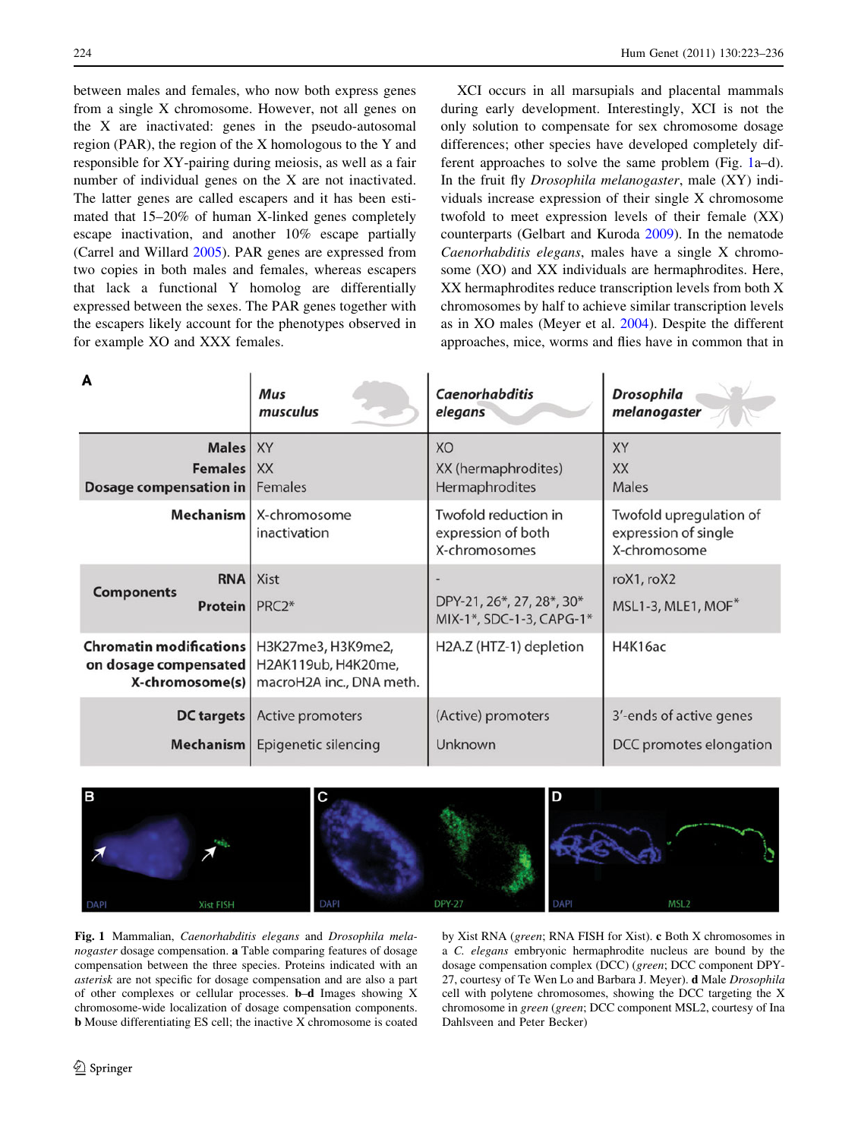<span id="page-1-0"></span>between males and females, who now both express genes from a single X chromosome. However, not all genes on the X are inactivated: genes in the pseudo-autosomal region (PAR), the region of the X homologous to the Y and responsible for XY-pairing during meiosis, as well as a fair number of individual genes on the X are not inactivated. The latter genes are called escapers and it has been estimated that 15–20% of human X-linked genes completely escape inactivation, and another 10% escape partially (Carrel and Willard [2005](#page-10-0)). PAR genes are expressed from two copies in both males and females, whereas escapers that lack a functional Y homolog are differentially expressed between the sexes. The PAR genes together with the escapers likely account for the phenotypes observed in for example XO and XXX females.

XCI occurs in all marsupials and placental mammals during early development. Interestingly, XCI is not the only solution to compensate for sex chromosome dosage differences; other species have developed completely different approaches to solve the same problem (Fig. 1a–d). In the fruit fly Drosophila melanogaster, male (XY) individuals increase expression of their single X chromosome twofold to meet expression levels of their female (XX) counterparts (Gelbart and Kuroda [2009\)](#page-11-0). In the nematode Caenorhabditis elegans, males have a single X chromosome (XO) and XX individuals are hermaphrodites. Here, XX hermaphrodites reduce transcription levels from both X chromosomes by half to achieve similar transcription levels as in XO males (Meyer et al. [2004\)](#page-12-0). Despite the different approaches, mice, worms and flies have in common that in

| A                                                                                                              | Mus                               | <b>Caenorhabditis</b>                                       | <b>Drosophila</b>                                               |
|----------------------------------------------------------------------------------------------------------------|-----------------------------------|-------------------------------------------------------------|-----------------------------------------------------------------|
|                                                                                                                | musculus                          | elegans                                                     | melanogaster                                                    |
| <b>Males</b>                                                                                                   | <b>XY</b>                         | XO                                                          | XY                                                              |
| <b>Females</b>                                                                                                 | <b>XX</b>                         | XX (hermaphrodites)                                         | <b>XX</b>                                                       |
| <b>Dosage compensation in</b>                                                                                  | Females                           | Hermaphrodites                                              | Males                                                           |
| <b>Mechanism</b>                                                                                               | X-chromosome<br>inactivation      | Twofold reduction in<br>expression of both<br>X-chromosomes | Twofold upregulation of<br>expression of single<br>X-chromosome |
| <b>RNA</b><br><b>Components</b><br>Protein                                                                     | <b>Xist</b><br>PRC <sub>2</sub> * | DPY-21, 26*, 27, 28*, 30*<br>MIX-1*, SDC-1-3, CAPG-1*       | roX1, roX2<br>MSL1-3, MLE1, MOF*                                |
| Chromatin modifications   H3K27me3, H3K9me2,<br>on dosage compensated   H2AK119ub, H4K20me,<br>X-chromosome(s) | macroH2A inc., DNA meth.          | H2A.Z (HTZ-1) depletion                                     | <b>H4K16ac</b>                                                  |
| <b>DC</b> targets                                                                                              | Active promoters                  | (Active) promoters                                          | 3'-ends of active genes                                         |
| Mechanism                                                                                                      | Epigenetic silencing              | Unknown                                                     | DCC promotes elongation                                         |



Fig. 1 Mammalian, Caenorhabditis elegans and Drosophila melanogaster dosage compensation. a Table comparing features of dosage compensation between the three species. Proteins indicated with an asterisk are not specific for dosage compensation and are also a part of other complexes or cellular processes. b–d Images showing X chromosome-wide localization of dosage compensation components. b Mouse differentiating ES cell; the inactive X chromosome is coated by Xist RNA (green; RNA FISH for Xist). c Both X chromosomes in a C. elegans embryonic hermaphrodite nucleus are bound by the dosage compensation complex (DCC) (green; DCC component DPY-27, courtesy of Te Wen Lo and Barbara J. Meyer). d Male Drosophila cell with polytene chromosomes, showing the DCC targeting the X chromosome in green (green; DCC component MSL2, courtesy of Ina Dahlsveen and Peter Becker)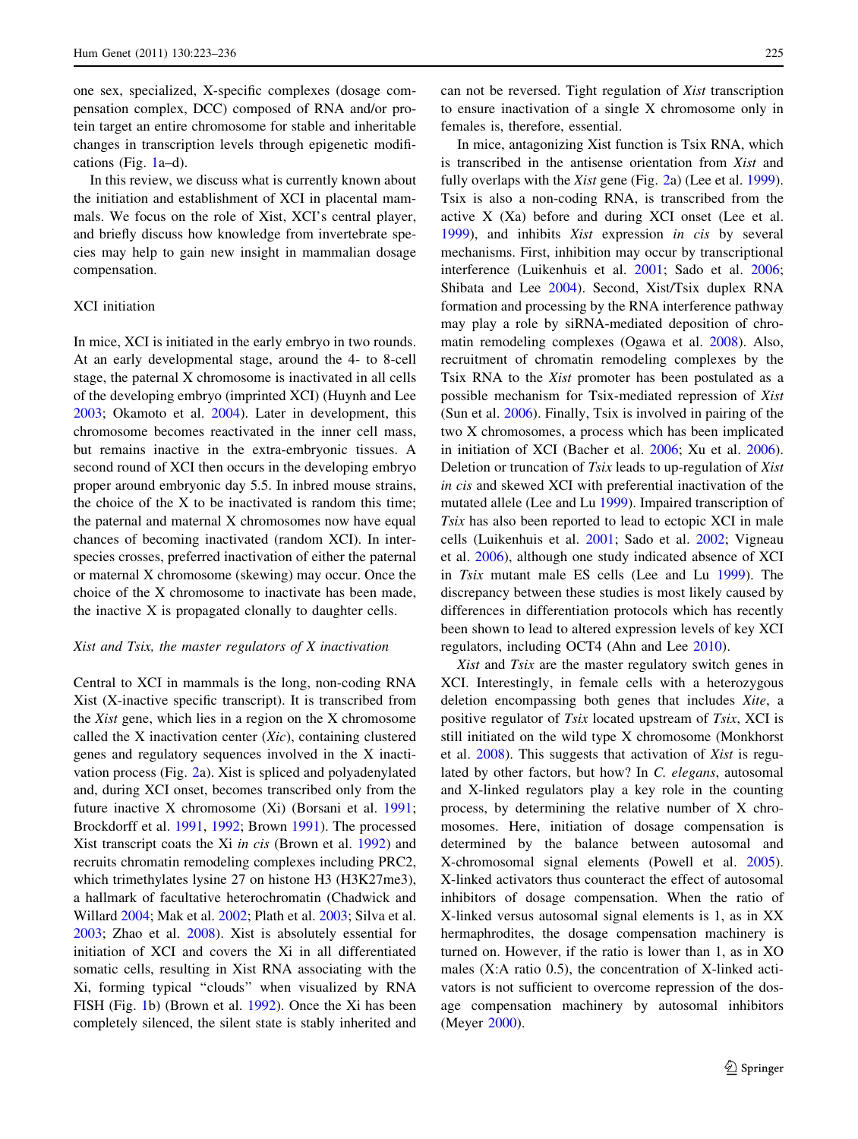one sex, specialized, X-specific complexes (dosage compensation complex, DCC) composed of RNA and/or protein target an entire chromosome for stable and inheritable changes in transcription levels through epigenetic modifications (Fig. [1](#page-1-0)a–d).

In this review, we discuss what is currently known about the initiation and establishment of XCI in placental mammals. We focus on the role of Xist, XCI's central player, and briefly discuss how knowledge from invertebrate species may help to gain new insight in mammalian dosage compensation.

## XCI initiation

In mice, XCI is initiated in the early embryo in two rounds. At an early developmental stage, around the 4- to 8-cell stage, the paternal X chromosome is inactivated in all cells of the developing embryo (imprinted XCI) (Huynh and Lee [2003;](#page-11-0) Okamoto et al. [2004\)](#page-12-0). Later in development, this chromosome becomes reactivated in the inner cell mass, but remains inactive in the extra-embryonic tissues. A second round of XCI then occurs in the developing embryo proper around embryonic day 5.5. In inbred mouse strains, the choice of the X to be inactivated is random this time; the paternal and maternal X chromosomes now have equal chances of becoming inactivated (random XCI). In interspecies crosses, preferred inactivation of either the paternal or maternal X chromosome (skewing) may occur. Once the choice of the X chromosome to inactivate has been made, the inactive X is propagated clonally to daughter cells.

#### Xist and Tsix, the master regulators of X inactivation

Central to XCI in mammals is the long, non-coding RNA Xist (X-inactive specific transcript). It is transcribed from the Xist gene, which lies in a region on the X chromosome called the  $X$  inactivation center  $(Xic)$ , containing clustered genes and regulatory sequences involved in the X inactivation process (Fig. [2a](#page-3-0)). Xist is spliced and polyadenylated and, during XCI onset, becomes transcribed only from the future inactive X chromosome (Xi) (Borsani et al. [1991](#page-10-0); Brockdorff et al. [1991](#page-10-0), [1992;](#page-10-0) Brown [1991](#page-10-0)). The processed Xist transcript coats the Xi in cis (Brown et al. [1992](#page-10-0)) and recruits chromatin remodeling complexes including PRC2, which trimethylates lysine 27 on histone H3 (H3K27me3), a hallmark of facultative heterochromatin (Chadwick and Willard [2004](#page-10-0); Mak et al. [2002;](#page-12-0) Plath et al. [2003;](#page-12-0) Silva et al. [2003;](#page-13-0) Zhao et al. [2008\)](#page-13-0). Xist is absolutely essential for initiation of XCI and covers the Xi in all differentiated somatic cells, resulting in Xist RNA associating with the Xi, forming typical ''clouds'' when visualized by RNA FISH (Fig. [1](#page-1-0)b) (Brown et al. [1992\)](#page-10-0). Once the Xi has been completely silenced, the silent state is stably inherited and can not be reversed. Tight regulation of Xist transcription to ensure inactivation of a single X chromosome only in females is, therefore, essential.

In mice, antagonizing Xist function is Tsix RNA, which is transcribed in the antisense orientation from Xist and fully overlaps with the Xist gene (Fig. [2a](#page-3-0)) (Lee et al. [1999](#page-11-0)). Tsix is also a non-coding RNA, is transcribed from the active X (Xa) before and during XCI onset (Lee et al. [1999](#page-11-0)), and inhibits Xist expression in cis by several mechanisms. First, inhibition may occur by transcriptional interference (Luikenhuis et al. [2001;](#page-11-0) Sado et al. [2006](#page-13-0); Shibata and Lee [2004\)](#page-13-0). Second, Xist/Tsix duplex RNA formation and processing by the RNA interference pathway may play a role by siRNA-mediated deposition of chromatin remodeling complexes (Ogawa et al. [2008\)](#page-12-0). Also, recruitment of chromatin remodeling complexes by the Tsix RNA to the Xist promoter has been postulated as a possible mechanism for Tsix-mediated repression of Xist (Sun et al. [2006\)](#page-13-0). Finally, Tsix is involved in pairing of the two X chromosomes, a process which has been implicated in initiation of XCI (Bacher et al. [2006](#page-10-0); Xu et al. [2006](#page-13-0)). Deletion or truncation of Tsix leads to up-regulation of Xist in cis and skewed XCI with preferential inactivation of the mutated allele (Lee and Lu [1999](#page-11-0)). Impaired transcription of Tsix has also been reported to lead to ectopic XCI in male cells (Luikenhuis et al. [2001;](#page-11-0) Sado et al. [2002](#page-13-0); Vigneau et al. [2006\)](#page-13-0), although one study indicated absence of XCI in Tsix mutant male ES cells (Lee and Lu [1999\)](#page-11-0). The discrepancy between these studies is most likely caused by differences in differentiation protocols which has recently been shown to lead to altered expression levels of key XCI regulators, including OCT4 (Ahn and Lee [2010](#page-10-0)).

Xist and Tsix are the master regulatory switch genes in XCI. Interestingly, in female cells with a heterozygous deletion encompassing both genes that includes Xite, a positive regulator of Tsix located upstream of Tsix, XCI is still initiated on the wild type X chromosome (Monkhorst et al. [2008\)](#page-12-0). This suggests that activation of Xist is regulated by other factors, but how? In C. elegans, autosomal and X-linked regulators play a key role in the counting process, by determining the relative number of X chromosomes. Here, initiation of dosage compensation is determined by the balance between autosomal and X-chromosomal signal elements (Powell et al. [2005](#page-12-0)). X-linked activators thus counteract the effect of autosomal inhibitors of dosage compensation. When the ratio of X-linked versus autosomal signal elements is 1, as in XX hermaphrodites, the dosage compensation machinery is turned on. However, if the ratio is lower than 1, as in XO males (X:A ratio 0.5), the concentration of X-linked activators is not sufficient to overcome repression of the dosage compensation machinery by autosomal inhibitors (Meyer [2000\)](#page-12-0).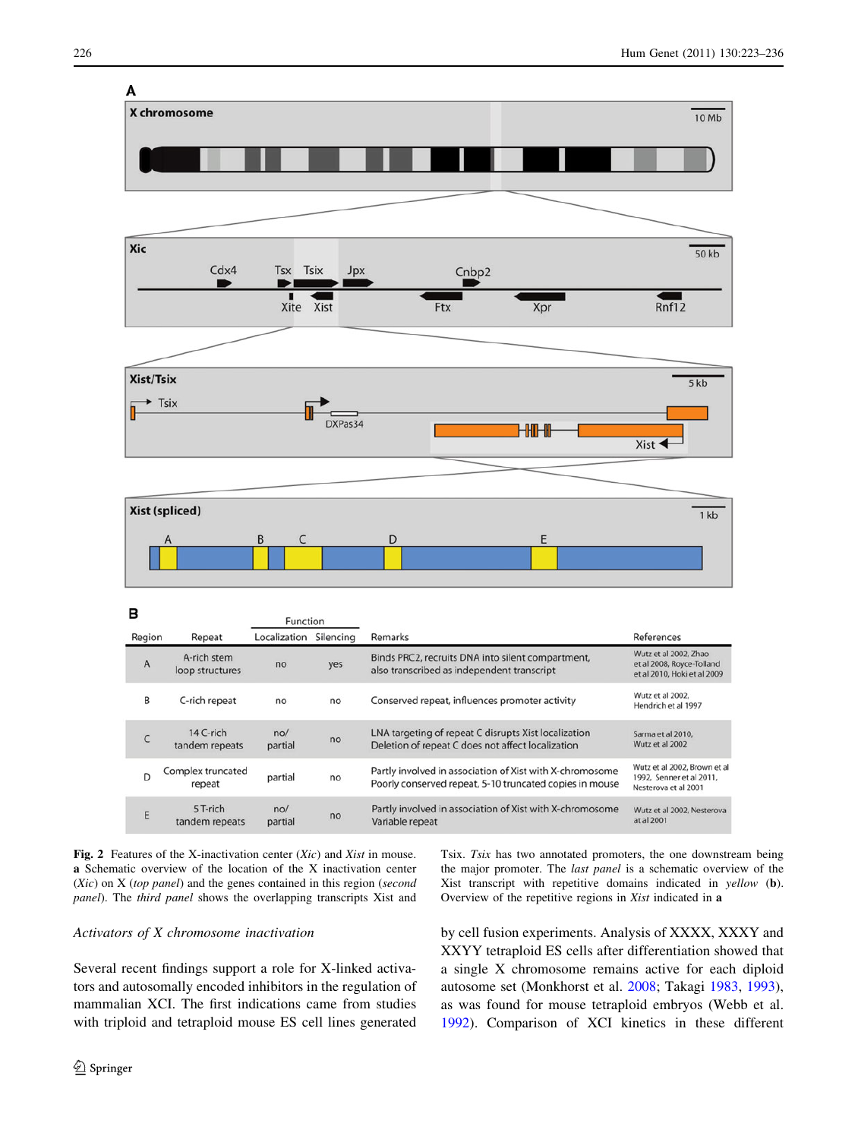<span id="page-3-0"></span>

Fig. 2 Features of the X-inactivation center (Xic) and Xist in mouse. a Schematic overview of the location of the X inactivation center (Xic) on X (top panel) and the genes contained in this region (second panel). The third panel shows the overlapping transcripts Xist and

# Activators of X chromosome inactivation

Several recent findings support a role for X-linked activators and autosomally encoded inhibitors in the regulation of mammalian XCI. The first indications came from studies with triploid and tetraploid mouse ES cell lines generated

Tsix. Tsix has two annotated promoters, the one downstream being the major promoter. The last panel is a schematic overview of the Xist transcript with repetitive domains indicated in yellow (b). Overview of the repetitive regions in Xist indicated in a

by cell fusion experiments. Analysis of XXXX, XXXY and XXYY tetraploid ES cells after differentiation showed that a single X chromosome remains active for each diploid autosome set (Monkhorst et al. [2008;](#page-12-0) Takagi [1983,](#page-13-0) [1993](#page-13-0)), as was found for mouse tetraploid embryos (Webb et al. [1992](#page-13-0)). Comparison of XCI kinetics in these different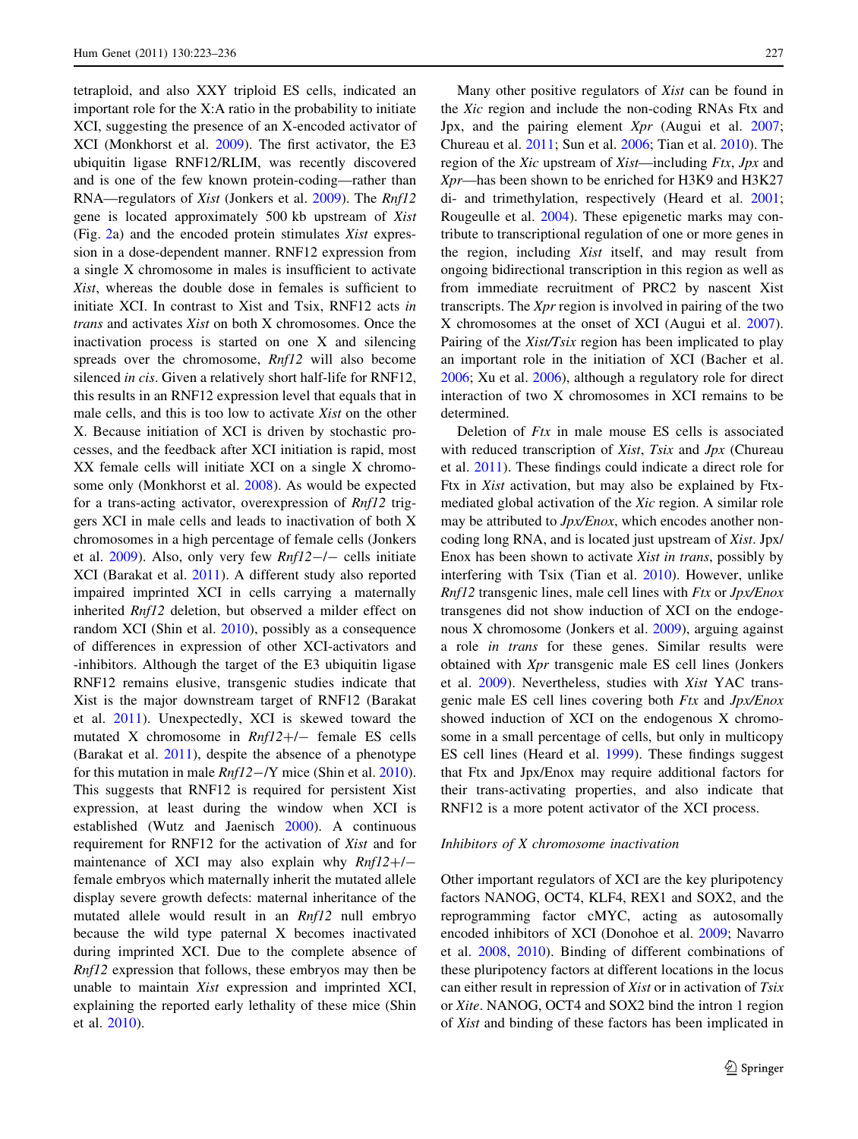tetraploid, and also XXY triploid ES cells, indicated an important role for the X:A ratio in the probability to initiate XCI, suggesting the presence of an X-encoded activator of XCI (Monkhorst et al. [2009\)](#page-12-0). The first activator, the E3 ubiquitin ligase RNF12/RLIM, was recently discovered and is one of the few known protein-coding—rather than RNA—regulators of Xist (Jonkers et al. [2009](#page-11-0)). The Rnf12 gene is located approximately 500 kb upstream of Xist (Fig. [2](#page-3-0)a) and the encoded protein stimulates Xist expression in a dose-dependent manner. RNF12 expression from a single X chromosome in males is insufficient to activate Xist, whereas the double dose in females is sufficient to initiate XCI. In contrast to Xist and Tsix, RNF12 acts in trans and activates Xist on both X chromosomes. Once the inactivation process is started on one X and silencing spreads over the chromosome, Rnf12 will also become silenced in cis. Given a relatively short half-life for RNF12, this results in an RNF12 expression level that equals that in male cells, and this is too low to activate Xist on the other X. Because initiation of XCI is driven by stochastic processes, and the feedback after XCI initiation is rapid, most XX female cells will initiate XCI on a single X chromosome only (Monkhorst et al. [2008\)](#page-12-0). As would be expected for a trans-acting activator, overexpression of Rnf12 triggers XCI in male cells and leads to inactivation of both X chromosomes in a high percentage of female cells (Jonkers et al.  $2009$ ). Also, only very few  $Rnf12-/-$  cells initiate XCI (Barakat et al. [2011](#page-10-0)). A different study also reported impaired imprinted XCI in cells carrying a maternally inherited Rnf12 deletion, but observed a milder effect on random XCI (Shin et al. [2010](#page-13-0)), possibly as a consequence of differences in expression of other XCI-activators and -inhibitors. Although the target of the E3 ubiquitin ligase RNF12 remains elusive, transgenic studies indicate that Xist is the major downstream target of RNF12 (Barakat et al. [2011\)](#page-10-0). Unexpectedly, XCI is skewed toward the mutated X chromosome in  $Rnf12+/-$  female ES cells (Barakat et al. [2011\)](#page-10-0), despite the absence of a phenotype for this mutation in male  $Rnf12 - / Y$  mice (Shin et al. [2010](#page-13-0)). This suggests that RNF12 is required for persistent Xist expression, at least during the window when XCI is established (Wutz and Jaenisch [2000\)](#page-13-0). A continuous requirement for RNF12 for the activation of Xist and for maintenance of XCI may also explain why  $Rnf12+/$ female embryos which maternally inherit the mutated allele display severe growth defects: maternal inheritance of the mutated allele would result in an Rnf12 null embryo because the wild type paternal X becomes inactivated during imprinted XCI. Due to the complete absence of Rnf12 expression that follows, these embryos may then be unable to maintain Xist expression and imprinted XCI, explaining the reported early lethality of these mice (Shin et al. [2010\)](#page-13-0).

Many other positive regulators of Xist can be found in the Xic region and include the non-coding RNAs Ftx and Jpx, and the pairing element Xpr (Augui et al. [2007](#page-10-0); Chureau et al. [2011](#page-11-0); Sun et al. [2006](#page-13-0); Tian et al. [2010](#page-13-0)). The region of the Xic upstream of Xist—including Ftx, Jpx and Xpr—has been shown to be enriched for H3K9 and H3K27 di- and trimethylation, respectively (Heard et al. [2001](#page-11-0); Rougeulle et al. [2004](#page-12-0)). These epigenetic marks may contribute to transcriptional regulation of one or more genes in the region, including Xist itself, and may result from ongoing bidirectional transcription in this region as well as from immediate recruitment of PRC2 by nascent Xist transcripts. The Xpr region is involved in pairing of the two X chromosomes at the onset of XCI (Augui et al. [2007](#page-10-0)). Pairing of the *Xist/Tsix* region has been implicated to play an important role in the initiation of XCI (Bacher et al. [2006](#page-10-0); Xu et al. [2006\)](#page-13-0), although a regulatory role for direct interaction of two X chromosomes in XCI remains to be determined.

Deletion of  $Ftx$  in male mouse ES cells is associated with reduced transcription of Xist, Tsix and Jpx (Chureau et al. [2011](#page-11-0)). These findings could indicate a direct role for Ftx in Xist activation, but may also be explained by Ftxmediated global activation of the Xic region. A similar role may be attributed to  $Jpx/Enox$ , which encodes another noncoding long RNA, and is located just upstream of Xist. Jpx/ Enox has been shown to activate Xist in trans, possibly by interfering with Tsix (Tian et al. [2010](#page-13-0)). However, unlike  $Rnf12$  transgenic lines, male cell lines with  $Ftx$  or  $Jpx/Enox$ transgenes did not show induction of XCI on the endogenous X chromosome (Jonkers et al. [2009](#page-11-0)), arguing against a role in trans for these genes. Similar results were obtained with Xpr transgenic male ES cell lines (Jonkers et al. [2009](#page-11-0)). Nevertheless, studies with Xist YAC transgenic male ES cell lines covering both Ftx and Jpx/Enox showed induction of XCI on the endogenous X chromosome in a small percentage of cells, but only in multicopy ES cell lines (Heard et al. [1999](#page-11-0)). These findings suggest that Ftx and Jpx/Enox may require additional factors for their trans-activating properties, and also indicate that RNF12 is a more potent activator of the XCI process.

#### Inhibitors of X chromosome inactivation

Other important regulators of XCI are the key pluripotency factors NANOG, OCT4, KLF4, REX1 and SOX2, and the reprogramming factor cMYC, acting as autosomally encoded inhibitors of XCI (Donohoe et al. [2009](#page-11-0); Navarro et al. [2008](#page-12-0), [2010\)](#page-12-0). Binding of different combinations of these pluripotency factors at different locations in the locus can either result in repression of Xist or in activation of Tsix or Xite. NANOG, OCT4 and SOX2 bind the intron 1 region of Xist and binding of these factors has been implicated in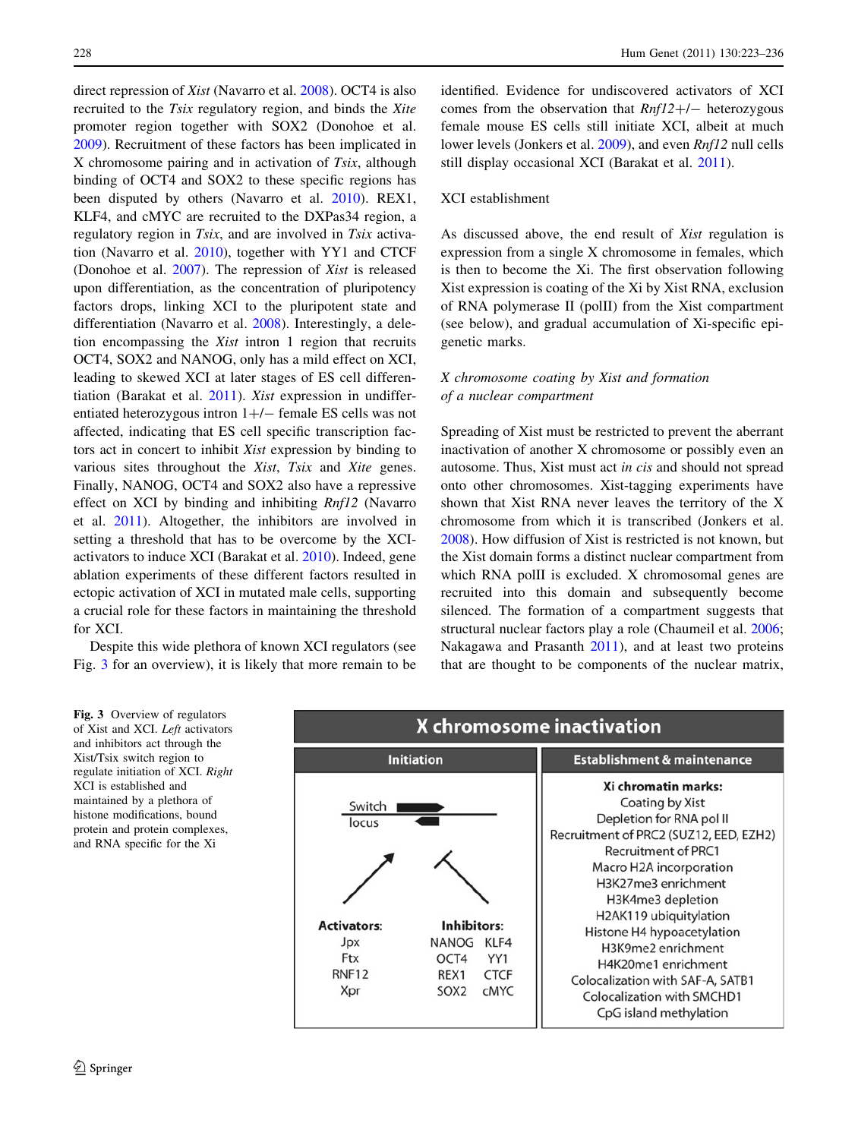<span id="page-5-0"></span>direct repression of Xist (Navarro et al. [2008\)](#page-12-0). OCT4 is also recruited to the Tsix regulatory region, and binds the Xite promoter region together with SOX2 (Donohoe et al. [2009\)](#page-11-0). Recruitment of these factors has been implicated in X chromosome pairing and in activation of Tsix, although binding of OCT4 and SOX2 to these specific regions has been disputed by others (Navarro et al. [2010](#page-12-0)). REX1, KLF4, and cMYC are recruited to the DXPas34 region, a regulatory region in Tsix, and are involved in Tsix activation (Navarro et al. [2010\)](#page-12-0), together with YY1 and CTCF (Donohoe et al. [2007\)](#page-11-0). The repression of Xist is released upon differentiation, as the concentration of pluripotency factors drops, linking XCI to the pluripotent state and differentiation (Navarro et al. [2008](#page-12-0)). Interestingly, a deletion encompassing the Xist intron 1 region that recruits OCT4, SOX2 and NANOG, only has a mild effect on XCI, leading to skewed XCI at later stages of ES cell differentiation (Barakat et al. [2011\)](#page-10-0). Xist expression in undifferentiated heterozygous intron  $1+/-$  female ES cells was not affected, indicating that ES cell specific transcription factors act in concert to inhibit Xist expression by binding to various sites throughout the Xist, Tsix and Xite genes. Finally, NANOG, OCT4 and SOX2 also have a repressive effect on XCI by binding and inhibiting Rnf12 (Navarro et al. [2011](#page-12-0)). Altogether, the inhibitors are involved in setting a threshold that has to be overcome by the XCIactivators to induce XCI (Barakat et al. [2010\)](#page-10-0). Indeed, gene ablation experiments of these different factors resulted in ectopic activation of XCI in mutated male cells, supporting a crucial role for these factors in maintaining the threshold for XCI.

Despite this wide plethora of known XCI regulators (see Fig. 3 for an overview), it is likely that more remain to be identified. Evidence for undiscovered activators of XCI comes from the observation that  $Rnf12+/-$  heterozygous female mouse ES cells still initiate XCI, albeit at much lower levels (Jonkers et al. [2009](#page-11-0)), and even *Rnf12* null cells still display occasional XCI (Barakat et al. [2011](#page-10-0)).

## XCI establishment

As discussed above, the end result of Xist regulation is expression from a single X chromosome in females, which is then to become the Xi. The first observation following Xist expression is coating of the Xi by Xist RNA, exclusion of RNA polymerase II (polII) from the Xist compartment (see below), and gradual accumulation of Xi-specific epigenetic marks.

# X chromosome coating by Xist and formation of a nuclear compartment

Spreading of Xist must be restricted to prevent the aberrant inactivation of another X chromosome or possibly even an autosome. Thus, Xist must act in cis and should not spread onto other chromosomes. Xist-tagging experiments have shown that Xist RNA never leaves the territory of the X chromosome from which it is transcribed (Jonkers et al. [2008](#page-11-0)). How diffusion of Xist is restricted is not known, but the Xist domain forms a distinct nuclear compartment from which RNA polII is excluded. X chromosomal genes are recruited into this domain and subsequently become silenced. The formation of a compartment suggests that structural nuclear factors play a role (Chaumeil et al. [2006](#page-10-0); Nakagawa and Prasanth [2011\)](#page-12-0), and at least two proteins that are thought to be components of the nuclear matrix,

Fig. 3 Overview of regulators of Xist and XCI. Left activators and inhibitors act through the Xist/Tsix switch region to regulate initiation of XCI. Right XCI is established and maintained by a plethora of histone modifications, bound protein and protein complexes, and RNA specific for the Xi

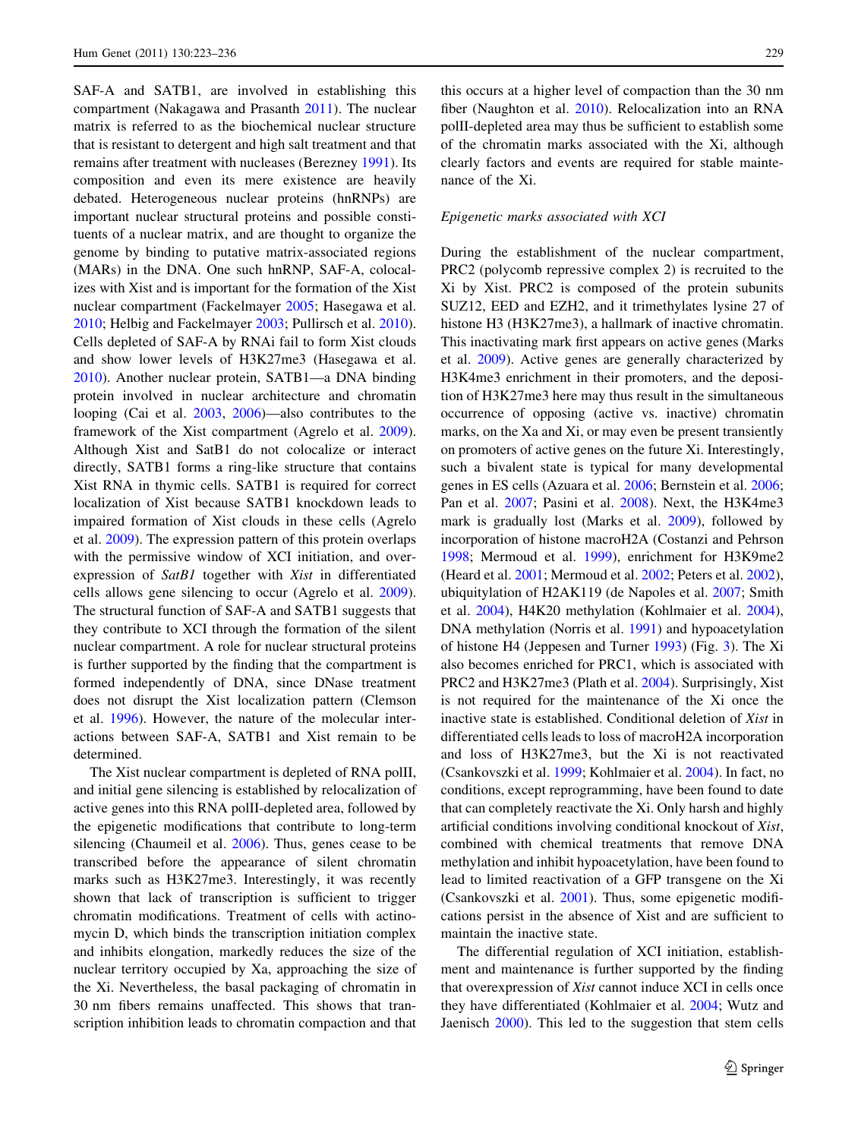SAF-A and SATB1, are involved in establishing this compartment (Nakagawa and Prasanth [2011\)](#page-12-0). The nuclear matrix is referred to as the biochemical nuclear structure that is resistant to detergent and high salt treatment and that remains after treatment with nucleases (Berezney [1991\)](#page-10-0). Its composition and even its mere existence are heavily debated. Heterogeneous nuclear proteins (hnRNPs) are important nuclear structural proteins and possible constituents of a nuclear matrix, and are thought to organize the genome by binding to putative matrix-associated regions (MARs) in the DNA. One such hnRNP, SAF-A, colocalizes with Xist and is important for the formation of the Xist nuclear compartment (Fackelmayer [2005](#page-11-0); Hasegawa et al. [2010;](#page-11-0) Helbig and Fackelmayer [2003;](#page-11-0) Pullirsch et al. [2010](#page-12-0)). Cells depleted of SAF-A by RNAi fail to form Xist clouds and show lower levels of H3K27me3 (Hasegawa et al. [2010\)](#page-11-0). Another nuclear protein, SATB1—a DNA binding protein involved in nuclear architecture and chromatin looping (Cai et al. [2003](#page-10-0), [2006](#page-10-0))—also contributes to the framework of the Xist compartment (Agrelo et al. [2009](#page-10-0)). Although Xist and SatB1 do not colocalize or interact directly, SATB1 forms a ring-like structure that contains Xist RNA in thymic cells. SATB1 is required for correct localization of Xist because SATB1 knockdown leads to impaired formation of Xist clouds in these cells (Agrelo et al. [2009](#page-10-0)). The expression pattern of this protein overlaps with the permissive window of XCI initiation, and overexpression of SatB1 together with Xist in differentiated cells allows gene silencing to occur (Agrelo et al. [2009](#page-10-0)). The structural function of SAF-A and SATB1 suggests that they contribute to XCI through the formation of the silent nuclear compartment. A role for nuclear structural proteins is further supported by the finding that the compartment is formed independently of DNA, since DNase treatment does not disrupt the Xist localization pattern (Clemson et al. [1996](#page-11-0)). However, the nature of the molecular interactions between SAF-A, SATB1 and Xist remain to be determined.

The Xist nuclear compartment is depleted of RNA polII, and initial gene silencing is established by relocalization of active genes into this RNA polII-depleted area, followed by the epigenetic modifications that contribute to long-term silencing (Chaumeil et al. [2006](#page-10-0)). Thus, genes cease to be transcribed before the appearance of silent chromatin marks such as H3K27me3. Interestingly, it was recently shown that lack of transcription is sufficient to trigger chromatin modifications. Treatment of cells with actinomycin D, which binds the transcription initiation complex and inhibits elongation, markedly reduces the size of the nuclear territory occupied by Xa, approaching the size of the Xi. Nevertheless, the basal packaging of chromatin in 30 nm fibers remains unaffected. This shows that transcription inhibition leads to chromatin compaction and that

this occurs at a higher level of compaction than the 30 nm fiber (Naughton et al. [2010](#page-12-0)). Relocalization into an RNA polII-depleted area may thus be sufficient to establish some of the chromatin marks associated with the Xi, although clearly factors and events are required for stable maintenance of the Xi.

#### Epigenetic marks associated with XCI

During the establishment of the nuclear compartment, PRC2 (polycomb repressive complex 2) is recruited to the Xi by Xist. PRC2 is composed of the protein subunits SUZ12, EED and EZH2, and it trimethylates lysine 27 of histone H3 (H3K27me3), a hallmark of inactive chromatin. This inactivating mark first appears on active genes (Marks et al. [2009](#page-12-0)). Active genes are generally characterized by H3K4me3 enrichment in their promoters, and the deposition of H3K27me3 here may thus result in the simultaneous occurrence of opposing (active vs. inactive) chromatin marks, on the Xa and Xi, or may even be present transiently on promoters of active genes on the future Xi. Interestingly, such a bivalent state is typical for many developmental genes in ES cells (Azuara et al. [2006](#page-10-0); Bernstein et al. [2006](#page-10-0); Pan et al. [2007](#page-12-0); Pasini et al. [2008\)](#page-12-0). Next, the H3K4me3 mark is gradually lost (Marks et al. [2009\)](#page-12-0), followed by incorporation of histone macroH2A (Costanzi and Pehrson [1998](#page-11-0); Mermoud et al. [1999](#page-12-0)), enrichment for H3K9me2 (Heard et al. [2001](#page-11-0); Mermoud et al. [2002](#page-12-0); Peters et al. [2002](#page-12-0)), ubiquitylation of H2AK119 (de Napoles et al. [2007;](#page-11-0) Smith et al. [2004](#page-13-0)), H4K20 methylation (Kohlmaier et al. [2004](#page-11-0)), DNA methylation (Norris et al. [1991](#page-12-0)) and hypoacetylation of histone H4 (Jeppesen and Turner [1993\)](#page-11-0) (Fig. [3](#page-5-0)). The Xi also becomes enriched for PRC1, which is associated with PRC2 and H3K27me3 (Plath et al. [2004](#page-12-0)). Surprisingly, Xist is not required for the maintenance of the Xi once the inactive state is established. Conditional deletion of Xist in differentiated cells leads to loss of macroH2A incorporation and loss of H3K27me3, but the Xi is not reactivated (Csankovszki et al. [1999](#page-11-0); Kohlmaier et al. [2004\)](#page-11-0). In fact, no conditions, except reprogramming, have been found to date that can completely reactivate the Xi. Only harsh and highly artificial conditions involving conditional knockout of Xist, combined with chemical treatments that remove DNA methylation and inhibit hypoacetylation, have been found to lead to limited reactivation of a GFP transgene on the Xi (Csankovszki et al. [2001\)](#page-11-0). Thus, some epigenetic modifications persist in the absence of Xist and are sufficient to maintain the inactive state.

The differential regulation of XCI initiation, establishment and maintenance is further supported by the finding that overexpression of Xist cannot induce XCI in cells once they have differentiated (Kohlmaier et al. [2004;](#page-11-0) Wutz and Jaenisch [2000\)](#page-13-0). This led to the suggestion that stem cells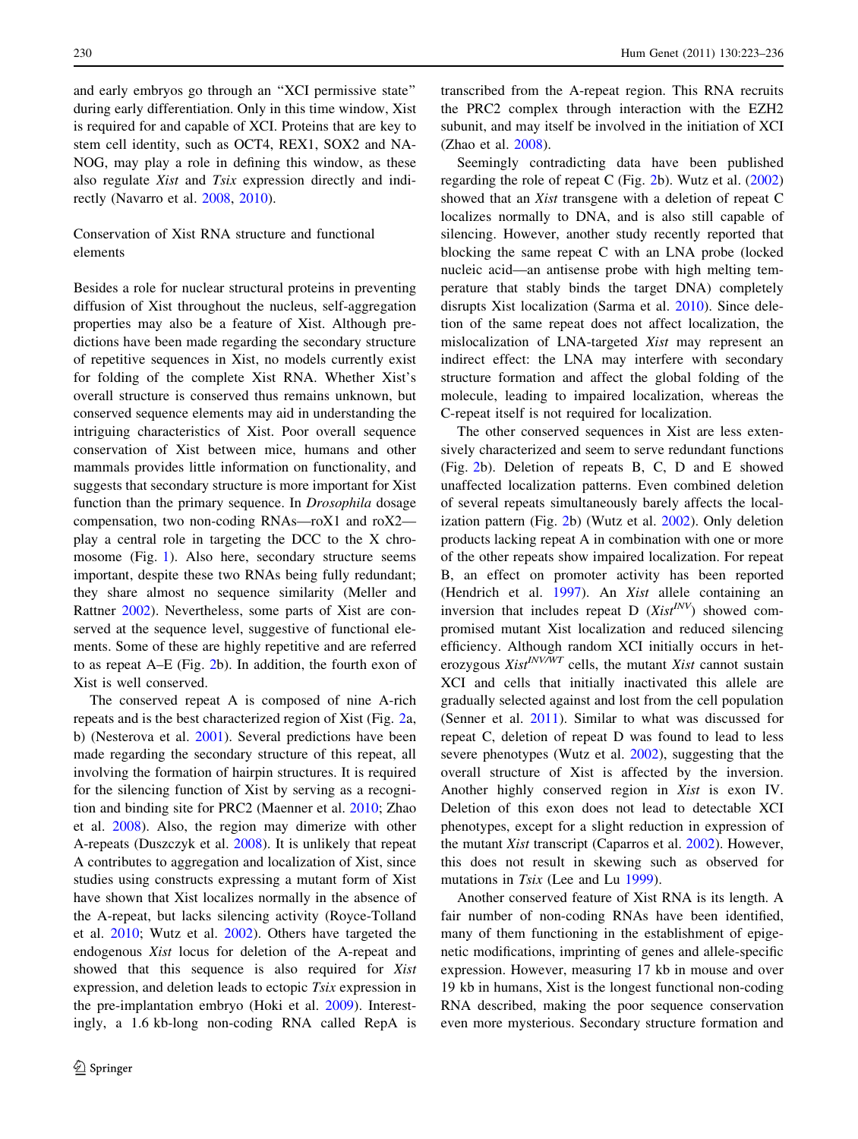and early embryos go through an ''XCI permissive state'' during early differentiation. Only in this time window, Xist is required for and capable of XCI. Proteins that are key to stem cell identity, such as OCT4, REX1, SOX2 and NA-NOG, may play a role in defining this window, as these also regulate Xist and Tsix expression directly and indirectly (Navarro et al. [2008](#page-12-0), [2010](#page-12-0)).

# Conservation of Xist RNA structure and functional elements

Besides a role for nuclear structural proteins in preventing diffusion of Xist throughout the nucleus, self-aggregation properties may also be a feature of Xist. Although predictions have been made regarding the secondary structure of repetitive sequences in Xist, no models currently exist for folding of the complete Xist RNA. Whether Xist's overall structure is conserved thus remains unknown, but conserved sequence elements may aid in understanding the intriguing characteristics of Xist. Poor overall sequence conservation of Xist between mice, humans and other mammals provides little information on functionality, and suggests that secondary structure is more important for Xist function than the primary sequence. In *Drosophila* dosage compensation, two non-coding RNAs—roX1 and roX2 play a central role in targeting the DCC to the X chromosome (Fig. [1\)](#page-1-0). Also here, secondary structure seems important, despite these two RNAs being fully redundant; they share almost no sequence similarity (Meller and Rattner [2002\)](#page-12-0). Nevertheless, some parts of Xist are conserved at the sequence level, suggestive of functional elements. Some of these are highly repetitive and are referred to as repeat A–E (Fig. [2b](#page-3-0)). In addition, the fourth exon of Xist is well conserved.

The conserved repeat A is composed of nine A-rich repeats and is the best characterized region of Xist (Fig. [2](#page-3-0)a, b) (Nesterova et al. [2001\)](#page-12-0). Several predictions have been made regarding the secondary structure of this repeat, all involving the formation of hairpin structures. It is required for the silencing function of Xist by serving as a recognition and binding site for PRC2 (Maenner et al. [2010;](#page-12-0) Zhao et al. [2008](#page-13-0)). Also, the region may dimerize with other A-repeats (Duszczyk et al. [2008](#page-11-0)). It is unlikely that repeat A contributes to aggregation and localization of Xist, since studies using constructs expressing a mutant form of Xist have shown that Xist localizes normally in the absence of the A-repeat, but lacks silencing activity (Royce-Tolland et al. [2010;](#page-12-0) Wutz et al. [2002\)](#page-13-0). Others have targeted the endogenous Xist locus for deletion of the A-repeat and showed that this sequence is also required for Xist expression, and deletion leads to ectopic Tsix expression in the pre-implantation embryo (Hoki et al. [2009\)](#page-11-0). Interestingly, a 1.6 kb-long non-coding RNA called RepA is

transcribed from the A-repeat region. This RNA recruits the PRC2 complex through interaction with the EZH2 subunit, and may itself be involved in the initiation of XCI (Zhao et al. [2008](#page-13-0)).

Seemingly contradicting data have been published regarding the role of repeat C (Fig. [2b](#page-3-0)). Wutz et al. ([2002\)](#page-13-0) showed that an Xist transgene with a deletion of repeat C localizes normally to DNA, and is also still capable of silencing. However, another study recently reported that blocking the same repeat C with an LNA probe (locked nucleic acid—an antisense probe with high melting temperature that stably binds the target DNA) completely disrupts Xist localization (Sarma et al. [2010\)](#page-13-0). Since deletion of the same repeat does not affect localization, the mislocalization of LNA-targeted Xist may represent an indirect effect: the LNA may interfere with secondary structure formation and affect the global folding of the molecule, leading to impaired localization, whereas the C-repeat itself is not required for localization.

The other conserved sequences in Xist are less extensively characterized and seem to serve redundant functions (Fig. [2b](#page-3-0)). Deletion of repeats B, C, D and E showed unaffected localization patterns. Even combined deletion of several repeats simultaneously barely affects the localization pattern (Fig. [2](#page-3-0)b) (Wutz et al. [2002](#page-13-0)). Only deletion products lacking repeat A in combination with one or more of the other repeats show impaired localization. For repeat B, an effect on promoter activity has been reported (Hendrich et al. [1997\)](#page-11-0). An Xist allele containing an inversion that includes repeat D  $(Xist^{INV})$  showed compromised mutant Xist localization and reduced silencing efficiency. Although random XCI initially occurs in heterozygous  $Xist^{INV/WT}$  cells, the mutant Xist cannot sustain XCI and cells that initially inactivated this allele are gradually selected against and lost from the cell population (Senner et al. [2011](#page-13-0)). Similar to what was discussed for repeat C, deletion of repeat D was found to lead to less severe phenotypes (Wutz et al. [2002](#page-13-0)), suggesting that the overall structure of Xist is affected by the inversion. Another highly conserved region in Xist is exon IV. Deletion of this exon does not lead to detectable XCI phenotypes, except for a slight reduction in expression of the mutant Xist transcript (Caparros et al. [2002](#page-10-0)). However, this does not result in skewing such as observed for mutations in *Tsix* (Lee and Lu [1999\)](#page-11-0).

Another conserved feature of Xist RNA is its length. A fair number of non-coding RNAs have been identified, many of them functioning in the establishment of epigenetic modifications, imprinting of genes and allele-specific expression. However, measuring 17 kb in mouse and over 19 kb in humans, Xist is the longest functional non-coding RNA described, making the poor sequence conservation even more mysterious. Secondary structure formation and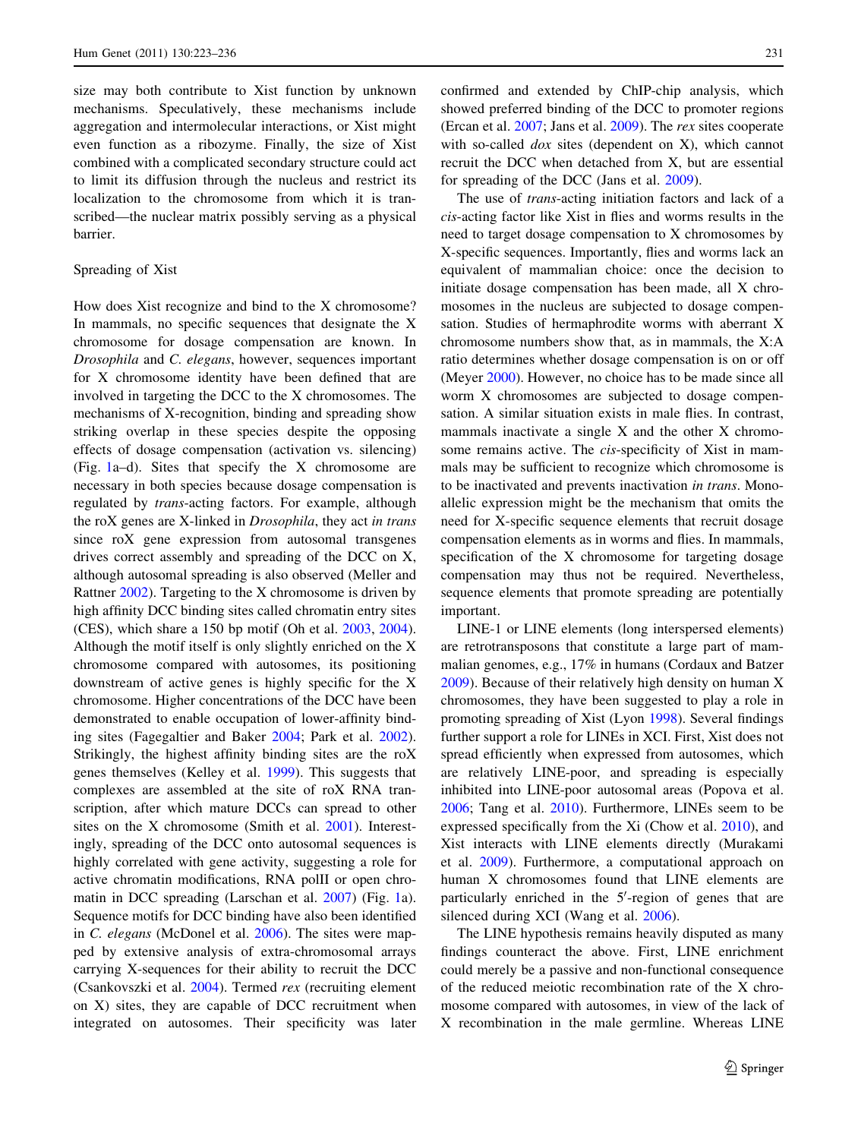size may both contribute to Xist function by unknown mechanisms. Speculatively, these mechanisms include aggregation and intermolecular interactions, or Xist might even function as a ribozyme. Finally, the size of Xist combined with a complicated secondary structure could act to limit its diffusion through the nucleus and restrict its localization to the chromosome from which it is transcribed—the nuclear matrix possibly serving as a physical barrier.

## Spreading of Xist

How does Xist recognize and bind to the X chromosome? In mammals, no specific sequences that designate the X chromosome for dosage compensation are known. In Drosophila and C. elegans, however, sequences important for X chromosome identity have been defined that are involved in targeting the DCC to the X chromosomes. The mechanisms of X-recognition, binding and spreading show striking overlap in these species despite the opposing effects of dosage compensation (activation vs. silencing) (Fig. [1](#page-1-0)a–d). Sites that specify the X chromosome are necessary in both species because dosage compensation is regulated by trans-acting factors. For example, although the roX genes are X-linked in Drosophila, they act in trans since roX gene expression from autosomal transgenes drives correct assembly and spreading of the DCC on X, although autosomal spreading is also observed (Meller and Rattner [2002](#page-12-0)). Targeting to the X chromosome is driven by high affinity DCC binding sites called chromatin entry sites (CES), which share a 150 bp motif (Oh et al. [2003,](#page-12-0) [2004](#page-12-0)). Although the motif itself is only slightly enriched on the X chromosome compared with autosomes, its positioning downstream of active genes is highly specific for the X chromosome. Higher concentrations of the DCC have been demonstrated to enable occupation of lower-affinity binding sites (Fagegaltier and Baker [2004;](#page-11-0) Park et al. [2002](#page-12-0)). Strikingly, the highest affinity binding sites are the roX genes themselves (Kelley et al. [1999\)](#page-11-0). This suggests that complexes are assembled at the site of roX RNA transcription, after which mature DCCs can spread to other sites on the X chromosome (Smith et al. [2001\)](#page-13-0). Interestingly, spreading of the DCC onto autosomal sequences is highly correlated with gene activity, suggesting a role for active chromatin modifications, RNA polII or open chromatin in DCC spreading (Larschan et al. [2007](#page-11-0)) (Fig. [1a](#page-1-0)). Sequence motifs for DCC binding have also been identified in C. elegans (McDonel et al. [2006\)](#page-12-0). The sites were mapped by extensive analysis of extra-chromosomal arrays carrying X-sequences for their ability to recruit the DCC (Csankovszki et al. [2004](#page-11-0)). Termed rex (recruiting element on X) sites, they are capable of DCC recruitment when integrated on autosomes. Their specificity was later confirmed and extended by ChIP-chip analysis, which showed preferred binding of the DCC to promoter regions (Ercan et al. [2007](#page-11-0); Jans et al. [2009\)](#page-11-0). The rex sites cooperate with so-called *dox* sites (dependent on X), which cannot recruit the DCC when detached from X, but are essential for spreading of the DCC (Jans et al. [2009\)](#page-11-0).

The use of *trans*-acting initiation factors and lack of a cis-acting factor like Xist in flies and worms results in the need to target dosage compensation to X chromosomes by X-specific sequences. Importantly, flies and worms lack an equivalent of mammalian choice: once the decision to initiate dosage compensation has been made, all X chromosomes in the nucleus are subjected to dosage compensation. Studies of hermaphrodite worms with aberrant X chromosome numbers show that, as in mammals, the X:A ratio determines whether dosage compensation is on or off (Meyer [2000](#page-12-0)). However, no choice has to be made since all worm X chromosomes are subjected to dosage compensation. A similar situation exists in male flies. In contrast, mammals inactivate a single X and the other X chromosome remains active. The cis-specificity of Xist in mammals may be sufficient to recognize which chromosome is to be inactivated and prevents inactivation in trans. Monoallelic expression might be the mechanism that omits the need for X-specific sequence elements that recruit dosage compensation elements as in worms and flies. In mammals, specification of the X chromosome for targeting dosage compensation may thus not be required. Nevertheless, sequence elements that promote spreading are potentially important.

LINE-1 or LINE elements (long interspersed elements) are retrotransposons that constitute a large part of mammalian genomes, e.g., 17% in humans (Cordaux and Batzer [2009](#page-11-0)). Because of their relatively high density on human X chromosomes, they have been suggested to play a role in promoting spreading of Xist (Lyon [1998](#page-12-0)). Several findings further support a role for LINEs in XCI. First, Xist does not spread efficiently when expressed from autosomes, which are relatively LINE-poor, and spreading is especially inhibited into LINE-poor autosomal areas (Popova et al. [2006](#page-12-0); Tang et al. [2010](#page-13-0)). Furthermore, LINEs seem to be expressed specifically from the Xi (Chow et al. [2010](#page-10-0)), and Xist interacts with LINE elements directly (Murakami et al. [2009\)](#page-12-0). Furthermore, a computational approach on human X chromosomes found that LINE elements are particularly enriched in the 5'-region of genes that are silenced during XCI (Wang et al. [2006](#page-13-0)).

The LINE hypothesis remains heavily disputed as many findings counteract the above. First, LINE enrichment could merely be a passive and non-functional consequence of the reduced meiotic recombination rate of the X chromosome compared with autosomes, in view of the lack of X recombination in the male germline. Whereas LINE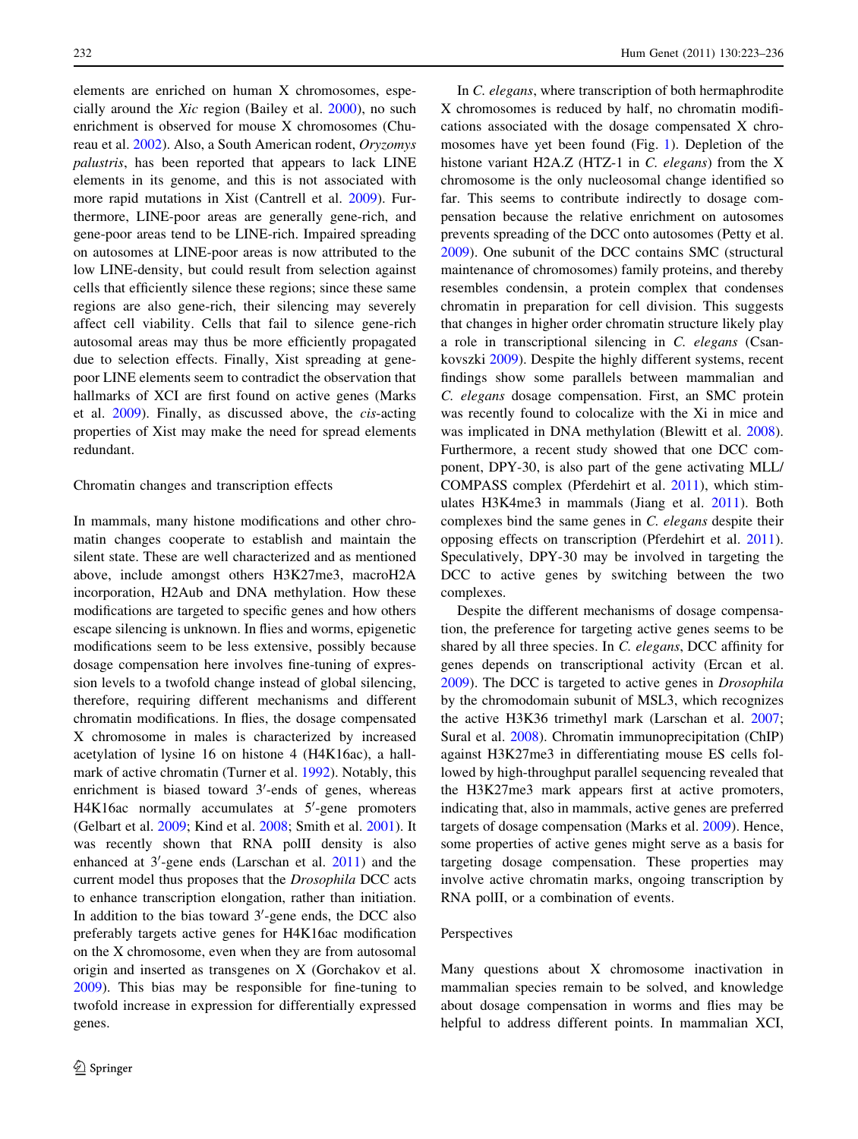elements are enriched on human X chromosomes, especially around the Xic region (Bailey et al. [2000\)](#page-10-0), no such enrichment is observed for mouse X chromosomes (Chureau et al. [2002](#page-10-0)). Also, a South American rodent, Oryzomys palustris, has been reported that appears to lack LINE elements in its genome, and this is not associated with more rapid mutations in Xist (Cantrell et al. [2009\)](#page-10-0). Furthermore, LINE-poor areas are generally gene-rich, and gene-poor areas tend to be LINE-rich. Impaired spreading on autosomes at LINE-poor areas is now attributed to the low LINE-density, but could result from selection against cells that efficiently silence these regions; since these same regions are also gene-rich, their silencing may severely affect cell viability. Cells that fail to silence gene-rich autosomal areas may thus be more efficiently propagated due to selection effects. Finally, Xist spreading at genepoor LINE elements seem to contradict the observation that hallmarks of XCI are first found on active genes (Marks et al. [2009](#page-12-0)). Finally, as discussed above, the cis-acting properties of Xist may make the need for spread elements redundant.

### Chromatin changes and transcription effects

In mammals, many histone modifications and other chromatin changes cooperate to establish and maintain the silent state. These are well characterized and as mentioned above, include amongst others H3K27me3, macroH2A incorporation, H2Aub and DNA methylation. How these modifications are targeted to specific genes and how others escape silencing is unknown. In flies and worms, epigenetic modifications seem to be less extensive, possibly because dosage compensation here involves fine-tuning of expression levels to a twofold change instead of global silencing, therefore, requiring different mechanisms and different chromatin modifications. In flies, the dosage compensated X chromosome in males is characterized by increased acetylation of lysine 16 on histone 4 (H4K16ac), a hallmark of active chromatin (Turner et al. [1992](#page-13-0)). Notably, this enrichment is biased toward 3'-ends of genes, whereas H4K16ac normally accumulates at 5'-gene promoters (Gelbart et al. [2009](#page-11-0); Kind et al. [2008](#page-11-0); Smith et al. [2001\)](#page-13-0). It was recently shown that RNA polII density is also enhanced at  $3'$ -gene ends (Larschan et al.  $2011$ ) and the current model thus proposes that the Drosophila DCC acts to enhance transcription elongation, rather than initiation. In addition to the bias toward 3'-gene ends, the DCC also preferably targets active genes for H4K16ac modification on the X chromosome, even when they are from autosomal origin and inserted as transgenes on X (Gorchakov et al. [2009\)](#page-11-0). This bias may be responsible for fine-tuning to twofold increase in expression for differentially expressed genes.

In C. elegans, where transcription of both hermaphrodite X chromosomes is reduced by half, no chromatin modifications associated with the dosage compensated X chromosomes have yet been found (Fig. [1\)](#page-1-0). Depletion of the histone variant H2A.Z (HTZ-1 in C. elegans) from the X chromosome is the only nucleosomal change identified so far. This seems to contribute indirectly to dosage compensation because the relative enrichment on autosomes prevents spreading of the DCC onto autosomes (Petty et al. [2009](#page-12-0)). One subunit of the DCC contains SMC (structural maintenance of chromosomes) family proteins, and thereby resembles condensin, a protein complex that condenses chromatin in preparation for cell division. This suggests that changes in higher order chromatin structure likely play a role in transcriptional silencing in C. elegans (Csankovszki [2009](#page-11-0)). Despite the highly different systems, recent findings show some parallels between mammalian and C. elegans dosage compensation. First, an SMC protein was recently found to colocalize with the Xi in mice and was implicated in DNA methylation (Blewitt et al. [2008](#page-10-0)). Furthermore, a recent study showed that one DCC component, DPY-30, is also part of the gene activating MLL/ COMPASS complex (Pferdehirt et al. [2011\)](#page-12-0), which stimulates H3K4me3 in mammals (Jiang et al. [2011](#page-11-0)). Both complexes bind the same genes in C. elegans despite their opposing effects on transcription (Pferdehirt et al. [2011](#page-12-0)). Speculatively, DPY-30 may be involved in targeting the DCC to active genes by switching between the two complexes.

Despite the different mechanisms of dosage compensation, the preference for targeting active genes seems to be shared by all three species. In C. elegans, DCC affinity for genes depends on transcriptional activity (Ercan et al. [2009](#page-11-0)). The DCC is targeted to active genes in Drosophila by the chromodomain subunit of MSL3, which recognizes the active H3K36 trimethyl mark (Larschan et al. [2007](#page-11-0); Sural et al. [2008](#page-13-0)). Chromatin immunoprecipitation (ChIP) against H3K27me3 in differentiating mouse ES cells followed by high-throughput parallel sequencing revealed that the H3K27me3 mark appears first at active promoters, indicating that, also in mammals, active genes are preferred targets of dosage compensation (Marks et al. [2009\)](#page-12-0). Hence, some properties of active genes might serve as a basis for targeting dosage compensation. These properties may involve active chromatin marks, ongoing transcription by RNA polII, or a combination of events.

# Perspectives

Many questions about X chromosome inactivation in mammalian species remain to be solved, and knowledge about dosage compensation in worms and flies may be helpful to address different points. In mammalian XCI,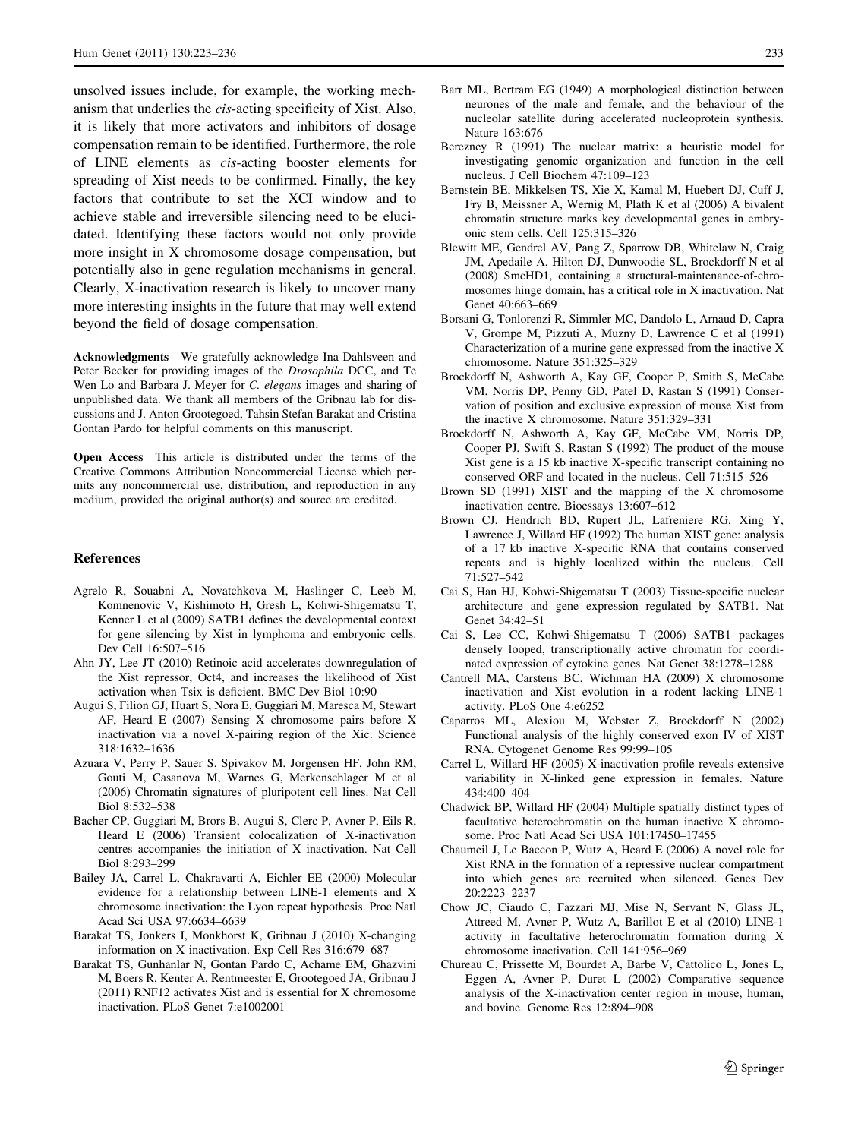<span id="page-10-0"></span>unsolved issues include, for example, the working mechanism that underlies the cis-acting specificity of Xist. Also, it is likely that more activators and inhibitors of dosage compensation remain to be identified. Furthermore, the role of LINE elements as cis-acting booster elements for spreading of Xist needs to be confirmed. Finally, the key factors that contribute to set the XCI window and to achieve stable and irreversible silencing need to be elucidated. Identifying these factors would not only provide more insight in X chromosome dosage compensation, but potentially also in gene regulation mechanisms in general. Clearly, X-inactivation research is likely to uncover many more interesting insights in the future that may well extend beyond the field of dosage compensation.

Acknowledgments We gratefully acknowledge Ina Dahlsveen and Peter Becker for providing images of the Drosophila DCC, and Te Wen Lo and Barbara J. Meyer for C. elegans images and sharing of unpublished data. We thank all members of the Gribnau lab for discussions and J. Anton Grootegoed, Tahsin Stefan Barakat and Cristina Gontan Pardo for helpful comments on this manuscript.

Open Access This article is distributed under the terms of the Creative Commons Attribution Noncommercial License which permits any noncommercial use, distribution, and reproduction in any medium, provided the original author(s) and source are credited.

#### References

- Agrelo R, Souabni A, Novatchkova M, Haslinger C, Leeb M, Komnenovic V, Kishimoto H, Gresh L, Kohwi-Shigematsu T, Kenner L et al (2009) SATB1 defines the developmental context for gene silencing by Xist in lymphoma and embryonic cells. Dev Cell 16:507–516
- Ahn JY, Lee JT (2010) Retinoic acid accelerates downregulation of the Xist repressor, Oct4, and increases the likelihood of Xist activation when Tsix is deficient. BMC Dev Biol 10:90
- Augui S, Filion GJ, Huart S, Nora E, Guggiari M, Maresca M, Stewart AF, Heard E (2007) Sensing X chromosome pairs before X inactivation via a novel X-pairing region of the Xic. Science 318:1632–1636
- Azuara V, Perry P, Sauer S, Spivakov M, Jorgensen HF, John RM, Gouti M, Casanova M, Warnes G, Merkenschlager M et al (2006) Chromatin signatures of pluripotent cell lines. Nat Cell Biol 8:532–538
- Bacher CP, Guggiari M, Brors B, Augui S, Clerc P, Avner P, Eils R, Heard E (2006) Transient colocalization of X-inactivation centres accompanies the initiation of X inactivation. Nat Cell Biol 8:293–299
- Bailey JA, Carrel L, Chakravarti A, Eichler EE (2000) Molecular evidence for a relationship between LINE-1 elements and X chromosome inactivation: the Lyon repeat hypothesis. Proc Natl Acad Sci USA 97:6634–6639
- Barakat TS, Jonkers I, Monkhorst K, Gribnau J (2010) X-changing information on X inactivation. Exp Cell Res 316:679–687
- Barakat TS, Gunhanlar N, Gontan Pardo C, Achame EM, Ghazvini M, Boers R, Kenter A, Rentmeester E, Grootegoed JA, Gribnau J (2011) RNF12 activates Xist and is essential for X chromosome inactivation. PLoS Genet 7:e1002001
- Barr ML, Bertram EG (1949) A morphological distinction between neurones of the male and female, and the behaviour of the nucleolar satellite during accelerated nucleoprotein synthesis. Nature 163:676
- Berezney R (1991) The nuclear matrix: a heuristic model for investigating genomic organization and function in the cell nucleus. J Cell Biochem 47:109–123
- Bernstein BE, Mikkelsen TS, Xie X, Kamal M, Huebert DJ, Cuff J, Fry B, Meissner A, Wernig M, Plath K et al (2006) A bivalent chromatin structure marks key developmental genes in embryonic stem cells. Cell 125:315–326
- Blewitt ME, Gendrel AV, Pang Z, Sparrow DB, Whitelaw N, Craig JM, Apedaile A, Hilton DJ, Dunwoodie SL, Brockdorff N et al (2008) SmcHD1, containing a structural-maintenance-of-chromosomes hinge domain, has a critical role in X inactivation. Nat Genet 40:663–669
- Borsani G, Tonlorenzi R, Simmler MC, Dandolo L, Arnaud D, Capra V, Grompe M, Pizzuti A, Muzny D, Lawrence C et al (1991) Characterization of a murine gene expressed from the inactive X chromosome. Nature 351:325–329
- Brockdorff N, Ashworth A, Kay GF, Cooper P, Smith S, McCabe VM, Norris DP, Penny GD, Patel D, Rastan S (1991) Conservation of position and exclusive expression of mouse Xist from the inactive X chromosome. Nature 351:329–331
- Brockdorff N, Ashworth A, Kay GF, McCabe VM, Norris DP, Cooper PJ, Swift S, Rastan S (1992) The product of the mouse Xist gene is a 15 kb inactive X-specific transcript containing no conserved ORF and located in the nucleus. Cell 71:515–526
- Brown SD (1991) XIST and the mapping of the X chromosome inactivation centre. Bioessays 13:607–612
- Brown CJ, Hendrich BD, Rupert JL, Lafreniere RG, Xing Y, Lawrence J, Willard HF (1992) The human XIST gene: analysis of a 17 kb inactive X-specific RNA that contains conserved repeats and is highly localized within the nucleus. Cell 71:527–542
- Cai S, Han HJ, Kohwi-Shigematsu T (2003) Tissue-specific nuclear architecture and gene expression regulated by SATB1. Nat Genet 34:42–51
- Cai S, Lee CC, Kohwi-Shigematsu T (2006) SATB1 packages densely looped, transcriptionally active chromatin for coordinated expression of cytokine genes. Nat Genet 38:1278–1288
- Cantrell MA, Carstens BC, Wichman HA (2009) X chromosome inactivation and Xist evolution in a rodent lacking LINE-1 activity. PLoS One 4:e6252
- Caparros ML, Alexiou M, Webster Z, Brockdorff N (2002) Functional analysis of the highly conserved exon IV of XIST RNA. Cytogenet Genome Res 99:99–105
- Carrel L, Willard HF (2005) X-inactivation profile reveals extensive variability in X-linked gene expression in females. Nature 434:400–404
- Chadwick BP, Willard HF (2004) Multiple spatially distinct types of facultative heterochromatin on the human inactive X chromosome. Proc Natl Acad Sci USA 101:17450–17455
- Chaumeil J, Le Baccon P, Wutz A, Heard E (2006) A novel role for Xist RNA in the formation of a repressive nuclear compartment into which genes are recruited when silenced. Genes Dev 20:2223–2237
- Chow JC, Ciaudo C, Fazzari MJ, Mise N, Servant N, Glass JL, Attreed M, Avner P, Wutz A, Barillot E et al (2010) LINE-1 activity in facultative heterochromatin formation during X chromosome inactivation. Cell 141:956–969
- Chureau C, Prissette M, Bourdet A, Barbe V, Cattolico L, Jones L, Eggen A, Avner P, Duret L (2002) Comparative sequence analysis of the X-inactivation center region in mouse, human, and bovine. Genome Res 12:894–908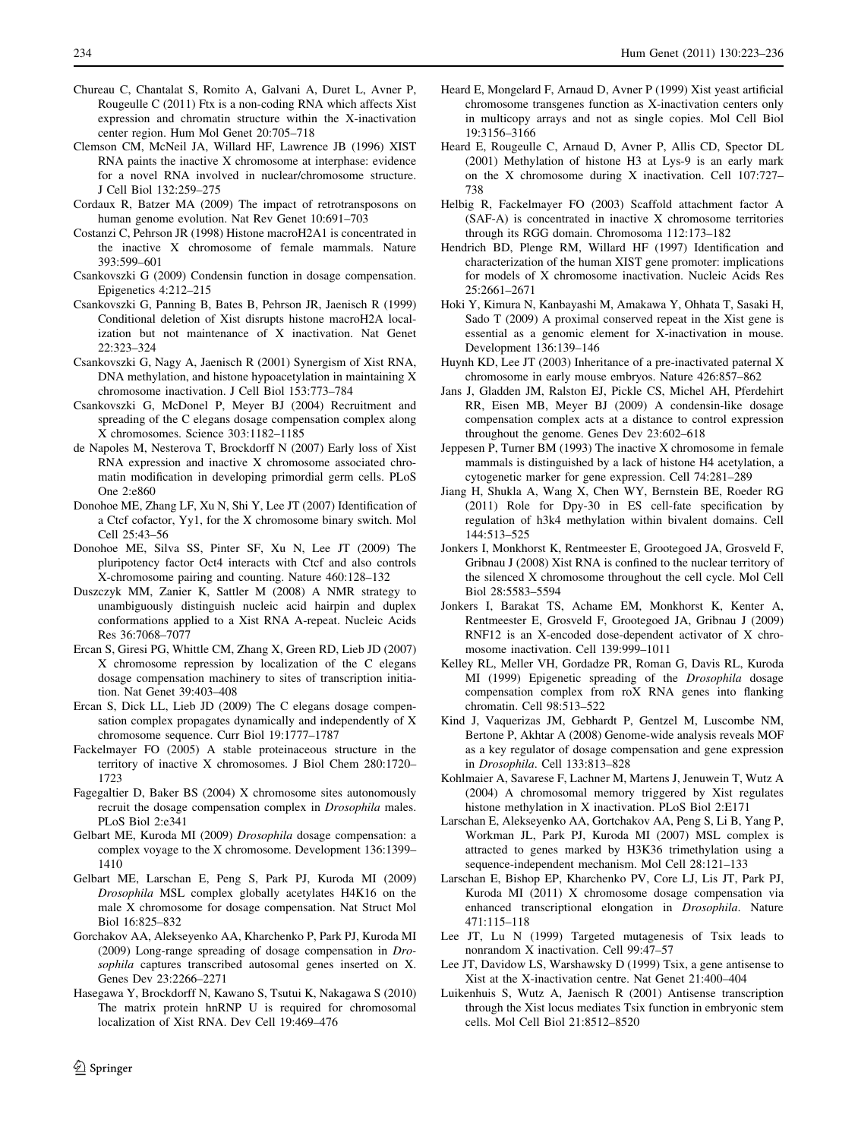- <span id="page-11-0"></span>Chureau C, Chantalat S, Romito A, Galvani A, Duret L, Avner P, Rougeulle C (2011) Ftx is a non-coding RNA which affects Xist expression and chromatin structure within the X-inactivation center region. Hum Mol Genet 20:705–718
- Clemson CM, McNeil JA, Willard HF, Lawrence JB (1996) XIST RNA paints the inactive X chromosome at interphase: evidence for a novel RNA involved in nuclear/chromosome structure. J Cell Biol 132:259–275
- Cordaux R, Batzer MA (2009) The impact of retrotransposons on human genome evolution. Nat Rev Genet 10:691–703
- Costanzi C, Pehrson JR (1998) Histone macroH2A1 is concentrated in the inactive X chromosome of female mammals. Nature 393:599–601
- Csankovszki G (2009) Condensin function in dosage compensation. Epigenetics 4:212–215
- Csankovszki G, Panning B, Bates B, Pehrson JR, Jaenisch R (1999) Conditional deletion of Xist disrupts histone macroH2A localization but not maintenance of X inactivation. Nat Genet 22:323–324
- Csankovszki G, Nagy A, Jaenisch R (2001) Synergism of Xist RNA, DNA methylation, and histone hypoacetylation in maintaining X chromosome inactivation. J Cell Biol 153:773–784
- Csankovszki G, McDonel P, Meyer BJ (2004) Recruitment and spreading of the C elegans dosage compensation complex along X chromosomes. Science 303:1182–1185
- de Napoles M, Nesterova T, Brockdorff N (2007) Early loss of Xist RNA expression and inactive X chromosome associated chromatin modification in developing primordial germ cells. PLoS One 2:e860
- Donohoe ME, Zhang LF, Xu N, Shi Y, Lee JT (2007) Identification of a Ctcf cofactor, Yy1, for the X chromosome binary switch. Mol Cell 25:43–56
- Donohoe ME, Silva SS, Pinter SF, Xu N, Lee JT (2009) The pluripotency factor Oct4 interacts with Ctcf and also controls X-chromosome pairing and counting. Nature 460:128–132
- Duszczyk MM, Zanier K, Sattler M (2008) A NMR strategy to unambiguously distinguish nucleic acid hairpin and duplex conformations applied to a Xist RNA A-repeat. Nucleic Acids Res 36:7068–7077
- Ercan S, Giresi PG, Whittle CM, Zhang X, Green RD, Lieb JD (2007) X chromosome repression by localization of the C elegans dosage compensation machinery to sites of transcription initiation. Nat Genet 39:403–408
- Ercan S, Dick LL, Lieb JD (2009) The C elegans dosage compensation complex propagates dynamically and independently of X chromosome sequence. Curr Biol 19:1777–1787
- Fackelmayer FO (2005) A stable proteinaceous structure in the territory of inactive X chromosomes. J Biol Chem 280:1720– 1723
- Fagegaltier D, Baker BS (2004) X chromosome sites autonomously recruit the dosage compensation complex in Drosophila males. PLoS Biol 2:e341
- Gelbart ME, Kuroda MI (2009) Drosophila dosage compensation: a complex voyage to the X chromosome. Development 136:1399– 1410
- Gelbart ME, Larschan E, Peng S, Park PJ, Kuroda MI (2009) Drosophila MSL complex globally acetylates H4K16 on the male X chromosome for dosage compensation. Nat Struct Mol Biol 16:825–832
- Gorchakov AA, Alekseyenko AA, Kharchenko P, Park PJ, Kuroda MI (2009) Long-range spreading of dosage compensation in Drosophila captures transcribed autosomal genes inserted on X. Genes Dev 23:2266–2271
- Hasegawa Y, Brockdorff N, Kawano S, Tsutui K, Nakagawa S (2010) The matrix protein hnRNP U is required for chromosomal localization of Xist RNA. Dev Cell 19:469–476
- Heard E, Mongelard F, Arnaud D, Avner P (1999) Xist yeast artificial chromosome transgenes function as X-inactivation centers only in multicopy arrays and not as single copies. Mol Cell Biol 19:3156–3166
- Heard E, Rougeulle C, Arnaud D, Avner P, Allis CD, Spector DL (2001) Methylation of histone H3 at Lys-9 is an early mark on the X chromosome during X inactivation. Cell 107:727– 738
- Helbig R, Fackelmayer FO (2003) Scaffold attachment factor A (SAF-A) is concentrated in inactive X chromosome territories through its RGG domain. Chromosoma 112:173–182
- Hendrich BD, Plenge RM, Willard HF (1997) Identification and characterization of the human XIST gene promoter: implications for models of X chromosome inactivation. Nucleic Acids Res 25:2661–2671
- Hoki Y, Kimura N, Kanbayashi M, Amakawa Y, Ohhata T, Sasaki H, Sado T (2009) A proximal conserved repeat in the Xist gene is essential as a genomic element for X-inactivation in mouse. Development 136:139–146
- Huynh KD, Lee JT (2003) Inheritance of a pre-inactivated paternal X chromosome in early mouse embryos. Nature 426:857–862
- Jans J, Gladden JM, Ralston EJ, Pickle CS, Michel AH, Pferdehirt RR, Eisen MB, Meyer BJ (2009) A condensin-like dosage compensation complex acts at a distance to control expression throughout the genome. Genes Dev 23:602–618
- Jeppesen P, Turner BM (1993) The inactive X chromosome in female mammals is distinguished by a lack of histone H4 acetylation, a cytogenetic marker for gene expression. Cell 74:281–289
- Jiang H, Shukla A, Wang X, Chen WY, Bernstein BE, Roeder RG (2011) Role for Dpy-30 in ES cell-fate specification by regulation of h3k4 methylation within bivalent domains. Cell 144:513–525
- Jonkers I, Monkhorst K, Rentmeester E, Grootegoed JA, Grosveld F, Gribnau J (2008) Xist RNA is confined to the nuclear territory of the silenced X chromosome throughout the cell cycle. Mol Cell Biol 28:5583–5594
- Jonkers I, Barakat TS, Achame EM, Monkhorst K, Kenter A, Rentmeester E, Grosveld F, Grootegoed JA, Gribnau J (2009) RNF12 is an X-encoded dose-dependent activator of X chromosome inactivation. Cell 139:999–1011
- Kelley RL, Meller VH, Gordadze PR, Roman G, Davis RL, Kuroda MI (1999) Epigenetic spreading of the Drosophila dosage compensation complex from roX RNA genes into flanking chromatin. Cell 98:513–522
- Kind J, Vaquerizas JM, Gebhardt P, Gentzel M, Luscombe NM, Bertone P, Akhtar A (2008) Genome-wide analysis reveals MOF as a key regulator of dosage compensation and gene expression in Drosophila. Cell 133:813–828
- Kohlmaier A, Savarese F, Lachner M, Martens J, Jenuwein T, Wutz A (2004) A chromosomal memory triggered by Xist regulates histone methylation in X inactivation. PLoS Biol 2:E171
- Larschan E, Alekseyenko AA, Gortchakov AA, Peng S, Li B, Yang P, Workman JL, Park PJ, Kuroda MI (2007) MSL complex is attracted to genes marked by H3K36 trimethylation using a sequence-independent mechanism. Mol Cell 28:121–133
- Larschan E, Bishop EP, Kharchenko PV, Core LJ, Lis JT, Park PJ, Kuroda MI (2011) X chromosome dosage compensation via enhanced transcriptional elongation in Drosophila. Nature 471:115–118
- Lee JT, Lu N (1999) Targeted mutagenesis of Tsix leads to nonrandom X inactivation. Cell 99:47–57
- Lee JT, Davidow LS, Warshawsky D (1999) Tsix, a gene antisense to Xist at the X-inactivation centre. Nat Genet 21:400–404
- Luikenhuis S, Wutz A, Jaenisch R (2001) Antisense transcription through the Xist locus mediates Tsix function in embryonic stem cells. Mol Cell Biol 21:8512–8520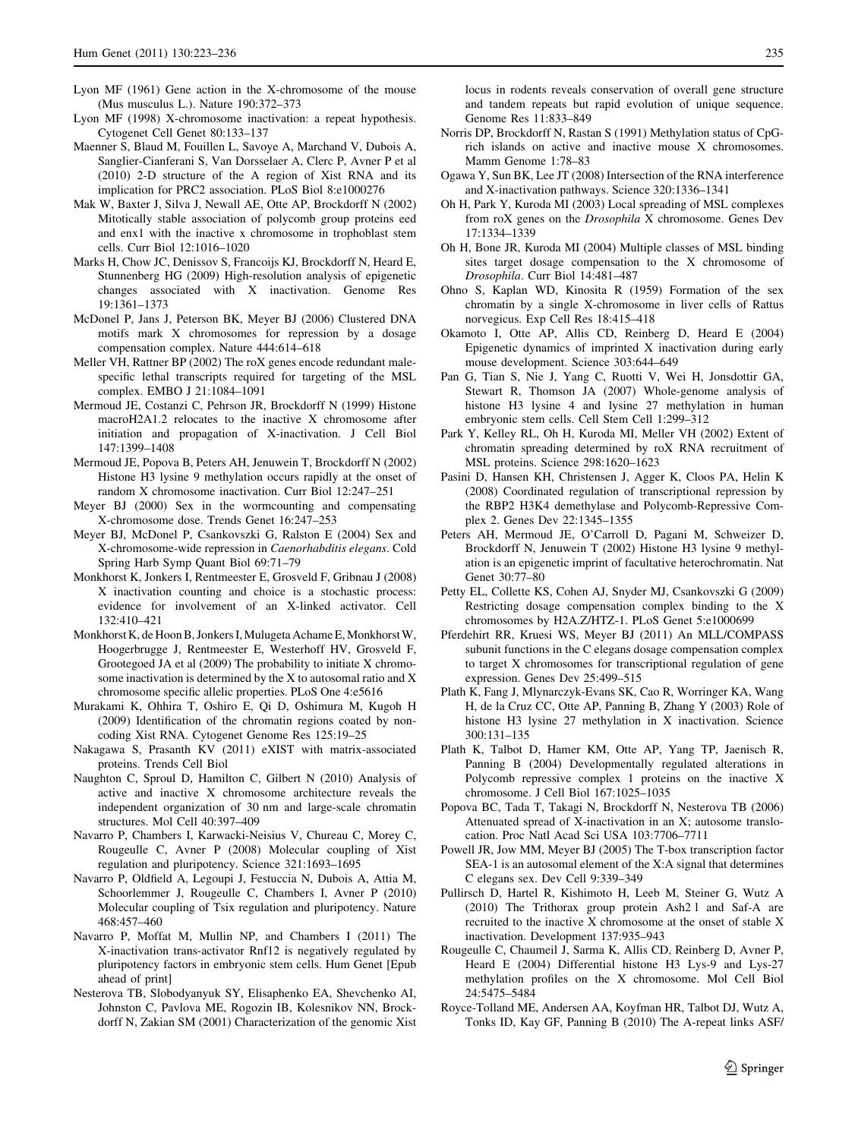- <span id="page-12-0"></span>Lyon MF (1961) Gene action in the X-chromosome of the mouse (Mus musculus L.). Nature 190:372–373
- Lyon MF (1998) X-chromosome inactivation: a repeat hypothesis. Cytogenet Cell Genet 80:133–137
- Maenner S, Blaud M, Fouillen L, Savoye A, Marchand V, Dubois A, Sanglier-Cianferani S, Van Dorsselaer A, Clerc P, Avner P et al (2010) 2-D structure of the A region of Xist RNA and its implication for PRC2 association. PLoS Biol 8:e1000276
- Mak W, Baxter J, Silva J, Newall AE, Otte AP, Brockdorff N (2002) Mitotically stable association of polycomb group proteins eed and enx1 with the inactive x chromosome in trophoblast stem cells. Curr Biol 12:1016–1020
- Marks H, Chow JC, Denissov S, Francoijs KJ, Brockdorff N, Heard E, Stunnenberg HG (2009) High-resolution analysis of epigenetic changes associated with X inactivation. Genome Res 19:1361–1373
- McDonel P, Jans J, Peterson BK, Meyer BJ (2006) Clustered DNA motifs mark X chromosomes for repression by a dosage compensation complex. Nature 444:614–618
- Meller VH, Rattner BP (2002) The roX genes encode redundant malespecific lethal transcripts required for targeting of the MSL complex. EMBO J 21:1084–1091
- Mermoud JE, Costanzi C, Pehrson JR, Brockdorff N (1999) Histone macroH2A1.2 relocates to the inactive X chromosome after initiation and propagation of X-inactivation. J Cell Biol 147:1399–1408
- Mermoud JE, Popova B, Peters AH, Jenuwein T, Brockdorff N (2002) Histone H3 lysine 9 methylation occurs rapidly at the onset of random X chromosome inactivation. Curr Biol 12:247–251
- Meyer BJ (2000) Sex in the wormcounting and compensating X-chromosome dose. Trends Genet 16:247–253
- Meyer BJ, McDonel P, Csankovszki G, Ralston E (2004) Sex and X-chromosome-wide repression in Caenorhabditis elegans. Cold Spring Harb Symp Quant Biol 69:71–79
- Monkhorst K, Jonkers I, Rentmeester E, Grosveld F, Gribnau J (2008) X inactivation counting and choice is a stochastic process: evidence for involvement of an X-linked activator. Cell 132:410–421
- Monkhorst K, de Hoon B, Jonkers I, Mulugeta Achame E, Monkhorst W, Hoogerbrugge J, Rentmeester E, Westerhoff HV, Grosveld F, Grootegoed JA et al (2009) The probability to initiate X chromosome inactivation is determined by the X to autosomal ratio and X chromosome specific allelic properties. PLoS One 4:e5616
- Murakami K, Ohhira T, Oshiro E, Qi D, Oshimura M, Kugoh H (2009) Identification of the chromatin regions coated by noncoding Xist RNA. Cytogenet Genome Res 125:19–25
- Nakagawa S, Prasanth KV (2011) eXIST with matrix-associated proteins. Trends Cell Biol
- Naughton C, Sproul D, Hamilton C, Gilbert N (2010) Analysis of active and inactive X chromosome architecture reveals the independent organization of 30 nm and large-scale chromatin structures. Mol Cell 40:397–409
- Navarro P, Chambers I, Karwacki-Neisius V, Chureau C, Morey C, Rougeulle C, Avner P (2008) Molecular coupling of Xist regulation and pluripotency. Science 321:1693–1695
- Navarro P, Oldfield A, Legoupi J, Festuccia N, Dubois A, Attia M, Schoorlemmer J, Rougeulle C, Chambers I, Avner P (2010) Molecular coupling of Tsix regulation and pluripotency. Nature 468:457–460
- Navarro P, Moffat M, Mullin NP, and Chambers I (2011) The X-inactivation trans-activator Rnf12 is negatively regulated by pluripotency factors in embryonic stem cells. Hum Genet [Epub ahead of print]
- Nesterova TB, Slobodyanyuk SY, Elisaphenko EA, Shevchenko AI, Johnston C, Pavlova ME, Rogozin IB, Kolesnikov NN, Brockdorff N, Zakian SM (2001) Characterization of the genomic Xist

locus in rodents reveals conservation of overall gene structure and tandem repeats but rapid evolution of unique sequence. Genome Res 11:833–849

- Norris DP, Brockdorff N, Rastan S (1991) Methylation status of CpGrich islands on active and inactive mouse X chromosomes. Mamm Genome 1:78–83
- Ogawa Y, Sun BK, Lee JT (2008) Intersection of the RNA interference and X-inactivation pathways. Science 320:1336–1341
- Oh H, Park Y, Kuroda MI (2003) Local spreading of MSL complexes from roX genes on the Drosophila X chromosome. Genes Dev 17:1334–1339
- Oh H, Bone JR, Kuroda MI (2004) Multiple classes of MSL binding sites target dosage compensation to the X chromosome of Drosophila. Curr Biol 14:481–487
- Ohno S, Kaplan WD, Kinosita R (1959) Formation of the sex chromatin by a single X-chromosome in liver cells of Rattus norvegicus. Exp Cell Res 18:415–418
- Okamoto I, Otte AP, Allis CD, Reinberg D, Heard E (2004) Epigenetic dynamics of imprinted X inactivation during early mouse development. Science 303:644–649
- Pan G, Tian S, Nie J, Yang C, Ruotti V, Wei H, Jonsdottir GA, Stewart R, Thomson JA (2007) Whole-genome analysis of histone H3 lysine 4 and lysine 27 methylation in human embryonic stem cells. Cell Stem Cell 1:299–312
- Park Y, Kelley RL, Oh H, Kuroda MI, Meller VH (2002) Extent of chromatin spreading determined by roX RNA recruitment of MSL proteins. Science 298:1620–1623
- Pasini D, Hansen KH, Christensen J, Agger K, Cloos PA, Helin K (2008) Coordinated regulation of transcriptional repression by the RBP2 H3K4 demethylase and Polycomb-Repressive Complex 2. Genes Dev 22:1345–1355
- Peters AH, Mermoud JE, O'Carroll D, Pagani M, Schweizer D, Brockdorff N, Jenuwein T (2002) Histone H3 lysine 9 methylation is an epigenetic imprint of facultative heterochromatin. Nat Genet 30:77–80
- Petty EL, Collette KS, Cohen AJ, Snyder MJ, Csankovszki G (2009) Restricting dosage compensation complex binding to the X chromosomes by H2A.Z/HTZ-1. PLoS Genet 5:e1000699
- Pferdehirt RR, Kruesi WS, Meyer BJ (2011) An MLL/COMPASS subunit functions in the C elegans dosage compensation complex to target X chromosomes for transcriptional regulation of gene expression. Genes Dev 25:499–515
- Plath K, Fang J, Mlynarczyk-Evans SK, Cao R, Worringer KA, Wang H, de la Cruz CC, Otte AP, Panning B, Zhang Y (2003) Role of histone H3 lysine 27 methylation in X inactivation. Science 300:131–135
- Plath K, Talbot D, Hamer KM, Otte AP, Yang TP, Jaenisch R, Panning B (2004) Developmentally regulated alterations in Polycomb repressive complex 1 proteins on the inactive X chromosome. J Cell Biol 167:1025–1035
- Popova BC, Tada T, Takagi N, Brockdorff N, Nesterova TB (2006) Attenuated spread of X-inactivation in an X; autosome translocation. Proc Natl Acad Sci USA 103:7706–7711
- Powell JR, Jow MM, Meyer BJ (2005) The T-box transcription factor SEA-1 is an autosomal element of the X:A signal that determines C elegans sex. Dev Cell 9:339–349
- Pullirsch D, Hartel R, Kishimoto H, Leeb M, Steiner G, Wutz A (2010) The Trithorax group protein Ash2 l and Saf-A are recruited to the inactive X chromosome at the onset of stable X inactivation. Development 137:935–943
- Rougeulle C, Chaumeil J, Sarma K, Allis CD, Reinberg D, Avner P, Heard E (2004) Differential histone H3 Lys-9 and Lys-27 methylation profiles on the X chromosome. Mol Cell Biol 24:5475–5484
- Royce-Tolland ME, Andersen AA, Koyfman HR, Talbot DJ, Wutz A, Tonks ID, Kay GF, Panning B (2010) The A-repeat links ASF/